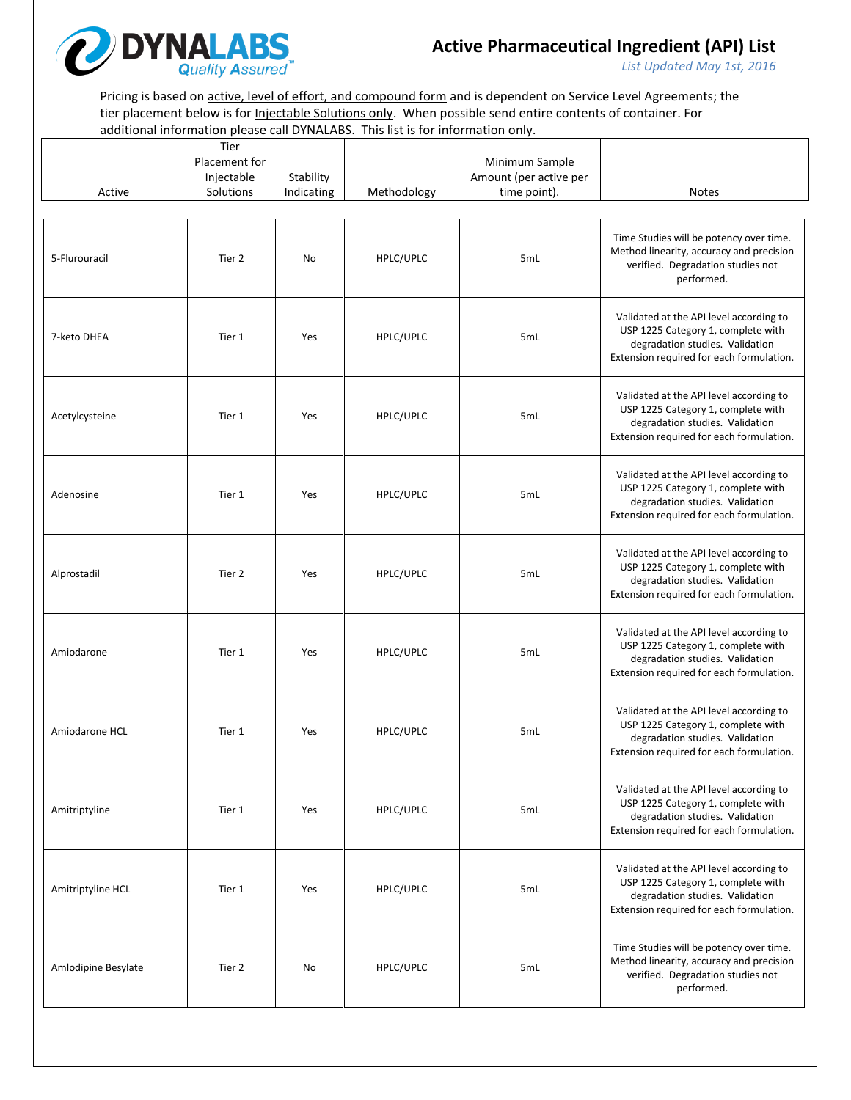

*List Updated May 1st, 2016*

Pricing is based on active, level of effort, and compound form and is dependent on Service Level Agreements; the tier placement below is for *Injectable Solutions only*. When possible send entire contents of container. For additional information please call DYNALABS. This list is for information only.

| Active              | Tier<br>Placement for<br>Injectable<br>Solutions | Stability<br>Indicating | Methodology | Minimum Sample<br>Amount (per active per<br>time point). | <b>Notes</b>                                                                                                                                                 |
|---------------------|--------------------------------------------------|-------------------------|-------------|----------------------------------------------------------|--------------------------------------------------------------------------------------------------------------------------------------------------------------|
| 5-Flurouracil       | Tier 2                                           | No                      | HPLC/UPLC   | 5mL                                                      | Time Studies will be potency over time.<br>Method linearity, accuracy and precision<br>verified. Degradation studies not<br>performed.                       |
| 7-keto DHEA         | Tier 1                                           | Yes                     | HPLC/UPLC   | 5mL                                                      | Validated at the API level according to<br>USP 1225 Category 1, complete with<br>degradation studies. Validation<br>Extension required for each formulation. |
| Acetylcysteine      | Tier 1                                           | Yes                     | HPLC/UPLC   | 5mL                                                      | Validated at the API level according to<br>USP 1225 Category 1, complete with<br>degradation studies. Validation<br>Extension required for each formulation. |
| Adenosine           | Tier 1                                           | Yes                     | HPLC/UPLC   | 5mL                                                      | Validated at the API level according to<br>USP 1225 Category 1, complete with<br>degradation studies. Validation<br>Extension required for each formulation. |
| Alprostadil         | Tier 2                                           | Yes                     | HPLC/UPLC   | 5mL                                                      | Validated at the API level according to<br>USP 1225 Category 1, complete with<br>degradation studies. Validation<br>Extension required for each formulation. |
| Amiodarone          | Tier 1                                           | Yes                     | HPLC/UPLC   | 5mL                                                      | Validated at the API level according to<br>USP 1225 Category 1, complete with<br>degradation studies. Validation<br>Extension required for each formulation. |
| Amiodarone HCL      | Tier 1                                           | Yes                     | HPLC/UPLC   | 5mL                                                      | Validated at the API level according to<br>USP 1225 Category 1, complete with<br>degradation studies. Validation<br>Extension required for each formulation. |
| Amitriptyline       | Tier 1                                           | Yes                     | HPLC/UPLC   | 5mL                                                      | Validated at the API level according to<br>USP 1225 Category 1, complete with<br>degradation studies. Validation<br>Extension required for each formulation. |
| Amitriptyline HCL   | Tier 1                                           | Yes                     | HPLC/UPLC   | 5mL                                                      | Validated at the API level according to<br>USP 1225 Category 1, complete with<br>degradation studies. Validation<br>Extension required for each formulation. |
| Amlodipine Besylate | Tier 2                                           | No                      | HPLC/UPLC   | 5mL                                                      | Time Studies will be potency over time.<br>Method linearity, accuracy and precision<br>verified. Degradation studies not<br>performed.                       |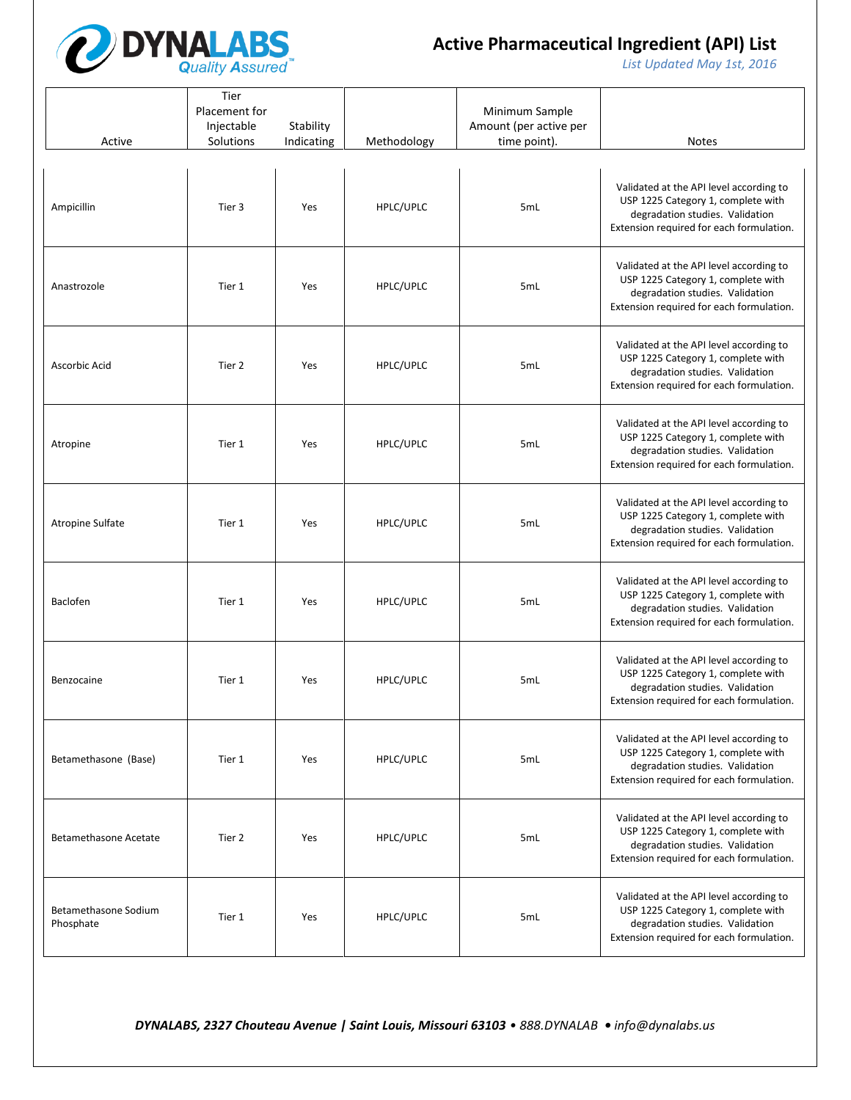

*List Updated May 1st, 2016*

| Active                            | Tier<br>Placement for<br>Injectable<br>Solutions | Stability<br>Indicating | Methodology | Minimum Sample<br>Amount (per active per<br>time point). | <b>Notes</b>                                                                                                                                                 |
|-----------------------------------|--------------------------------------------------|-------------------------|-------------|----------------------------------------------------------|--------------------------------------------------------------------------------------------------------------------------------------------------------------|
| Ampicillin                        | Tier 3                                           | Yes                     | HPLC/UPLC   | 5mL                                                      | Validated at the API level according to<br>USP 1225 Category 1, complete with<br>degradation studies. Validation<br>Extension required for each formulation. |
| Anastrozole                       | Tier 1                                           | Yes                     | HPLC/UPLC   | 5mL                                                      | Validated at the API level according to<br>USP 1225 Category 1, complete with<br>degradation studies. Validation<br>Extension required for each formulation. |
| Ascorbic Acid                     | Tier 2                                           | Yes                     | HPLC/UPLC   | 5mL                                                      | Validated at the API level according to<br>USP 1225 Category 1, complete with<br>degradation studies. Validation<br>Extension required for each formulation. |
| Atropine                          | Tier 1                                           | Yes                     | HPLC/UPLC   | 5mL                                                      | Validated at the API level according to<br>USP 1225 Category 1, complete with<br>degradation studies. Validation<br>Extension required for each formulation. |
| Atropine Sulfate                  | Tier 1                                           | Yes                     | HPLC/UPLC   | 5mL                                                      | Validated at the API level according to<br>USP 1225 Category 1, complete with<br>degradation studies. Validation<br>Extension required for each formulation. |
| Baclofen                          | Tier 1                                           | Yes                     | HPLC/UPLC   | 5mL                                                      | Validated at the API level according to<br>USP 1225 Category 1, complete with<br>degradation studies. Validation<br>Extension required for each formulation. |
| Benzocaine                        | Tier 1                                           | Yes                     | HPLC/UPLC   | 5mL                                                      | Validated at the API level according to<br>USP 1225 Category 1, complete with<br>degradation studies. Validation<br>Extension required for each formulation. |
| Betamethasone (Base)              | Tier 1                                           | Yes                     | HPLC/UPLC   | 5mL                                                      | Validated at the API level according to<br>USP 1225 Category 1, complete with<br>degradation studies. Validation<br>Extension required for each formulation. |
| <b>Betamethasone Acetate</b>      | Tier 2                                           | Yes                     | HPLC/UPLC   | 5mL                                                      | Validated at the API level according to<br>USP 1225 Category 1, complete with<br>degradation studies. Validation<br>Extension required for each formulation. |
| Betamethasone Sodium<br>Phosphate | Tier 1                                           | Yes                     | HPLC/UPLC   | 5mL                                                      | Validated at the API level according to<br>USP 1225 Category 1, complete with<br>degradation studies. Validation<br>Extension required for each formulation. |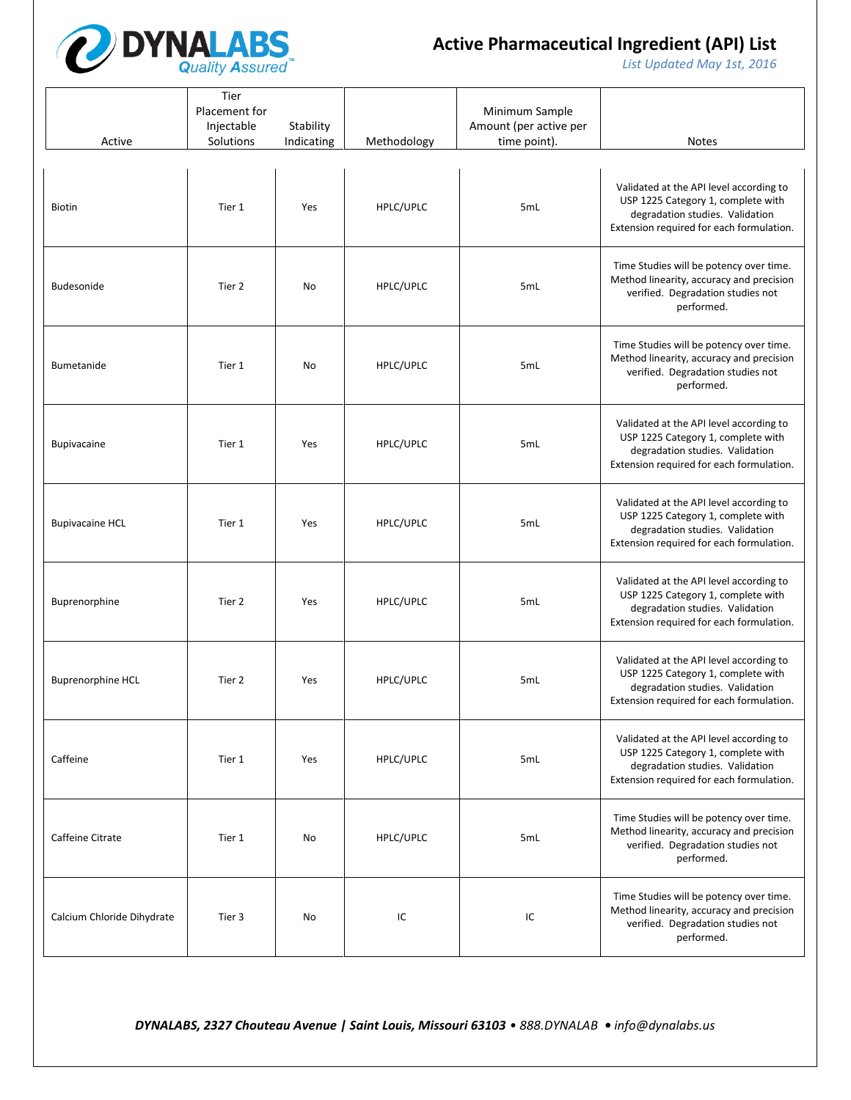

*List Updated May 1st, 2016*

| Active                     | Tier<br>Placement for<br>Injectable<br>Solutions | Stability<br>Indicating | Methodology | Minimum Sample<br>Amount (per active per<br>time point). | <b>Notes</b>                                                                                                                                                 |
|----------------------------|--------------------------------------------------|-------------------------|-------------|----------------------------------------------------------|--------------------------------------------------------------------------------------------------------------------------------------------------------------|
| <b>Biotin</b>              | Tier 1                                           | Yes                     | HPLC/UPLC   | 5mL                                                      | Validated at the API level according to<br>USP 1225 Category 1, complete with<br>degradation studies. Validation<br>Extension required for each formulation. |
| Budesonide                 | Tier 2                                           | No                      | HPLC/UPLC   | 5mL                                                      | Time Studies will be potency over time.<br>Method linearity, accuracy and precision<br>verified. Degradation studies not<br>performed.                       |
| <b>Bumetanide</b>          | Tier 1                                           | No                      | HPLC/UPLC   | 5mL                                                      | Time Studies will be potency over time.<br>Method linearity, accuracy and precision<br>verified. Degradation studies not<br>performed.                       |
| <b>Bupivacaine</b>         | Tier 1                                           | Yes                     | HPLC/UPLC   | 5mL                                                      | Validated at the API level according to<br>USP 1225 Category 1, complete with<br>degradation studies. Validation<br>Extension required for each formulation. |
| <b>Bupivacaine HCL</b>     | Tier 1                                           | Yes                     | HPLC/UPLC   | 5mL                                                      | Validated at the API level according to<br>USP 1225 Category 1, complete with<br>degradation studies. Validation<br>Extension required for each formulation. |
| Buprenorphine              | Tier 2                                           | Yes                     | HPLC/UPLC   | 5mL                                                      | Validated at the API level according to<br>USP 1225 Category 1, complete with<br>degradation studies. Validation<br>Extension required for each formulation. |
| <b>Buprenorphine HCL</b>   | Tier 2                                           | Yes                     | HPLC/UPLC   | 5mL                                                      | Validated at the API level according to<br>USP 1225 Category 1, complete with<br>degradation studies. Validation<br>Extension required for each formulation. |
| Caffeine                   | Tier 1                                           | Yes                     | HPLC/UPLC   | 5mL                                                      | Validated at the API level according to<br>USP 1225 Category 1, complete with<br>degradation studies. Validation<br>Extension required for each formulation. |
| Caffeine Citrate           | Tier 1                                           | No                      | HPLC/UPLC   | 5mL                                                      | Time Studies will be potency over time.<br>Method linearity, accuracy and precision<br>verified. Degradation studies not<br>performed.                       |
| Calcium Chloride Dihydrate | Tier 3                                           | No                      | IC          | IC                                                       | Time Studies will be potency over time.<br>Method linearity, accuracy and precision<br>verified. Degradation studies not<br>performed.                       |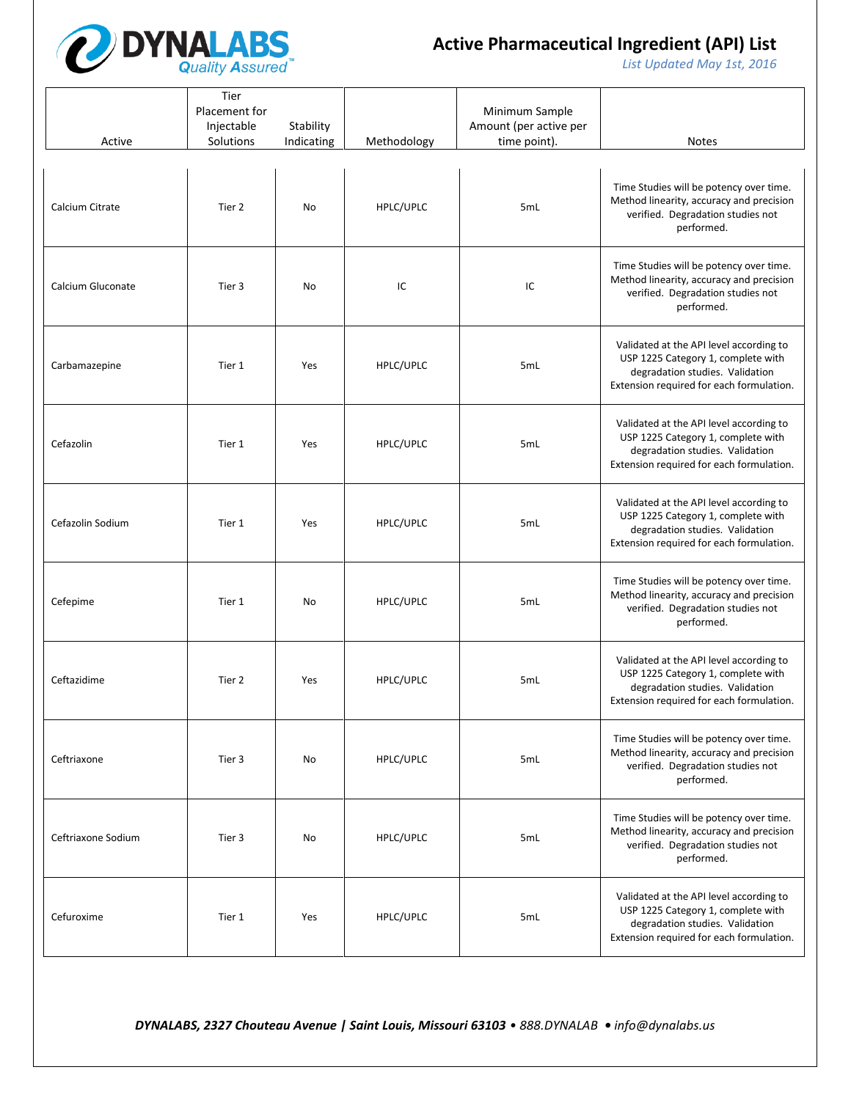

*List Updated May 1st, 2016*

| Active             | Tier<br>Placement for<br>Injectable<br>Solutions | Stability<br>Indicating | Methodology | Minimum Sample<br>Amount (per active per<br>time point). | <b>Notes</b>                                                                                                                                                 |
|--------------------|--------------------------------------------------|-------------------------|-------------|----------------------------------------------------------|--------------------------------------------------------------------------------------------------------------------------------------------------------------|
| Calcium Citrate    | Tier 2                                           | No                      | HPLC/UPLC   | 5mL                                                      | Time Studies will be potency over time.<br>Method linearity, accuracy and precision<br>verified. Degradation studies not<br>performed.                       |
| Calcium Gluconate  | Tier 3                                           | No                      | IC          | IC                                                       | Time Studies will be potency over time.<br>Method linearity, accuracy and precision<br>verified. Degradation studies not<br>performed.                       |
| Carbamazepine      | Tier 1                                           | Yes                     | HPLC/UPLC   | 5mL                                                      | Validated at the API level according to<br>USP 1225 Category 1, complete with<br>degradation studies. Validation<br>Extension required for each formulation. |
| Cefazolin          | Tier 1                                           | Yes                     | HPLC/UPLC   | 5mL                                                      | Validated at the API level according to<br>USP 1225 Category 1, complete with<br>degradation studies. Validation<br>Extension required for each formulation. |
| Cefazolin Sodium   | Tier 1                                           | Yes                     | HPLC/UPLC   | 5mL                                                      | Validated at the API level according to<br>USP 1225 Category 1, complete with<br>degradation studies. Validation<br>Extension required for each formulation. |
| Cefepime           | Tier 1                                           | No                      | HPLC/UPLC   | 5mL                                                      | Time Studies will be potency over time.<br>Method linearity, accuracy and precision<br>verified. Degradation studies not<br>performed.                       |
| Ceftazidime        | Tier 2                                           | Yes                     | HPLC/UPLC   | 5mL                                                      | Validated at the API level according to<br>USP 1225 Category 1, complete with<br>degradation studies. Validation<br>Extension required for each formulation. |
| Ceftriaxone        | Tier 3                                           | No                      | HPLC/UPLC   | 5mL                                                      | Time Studies will be potency over time.<br>Method linearity, accuracy and precision<br>verified. Degradation studies not<br>performed.                       |
| Ceftriaxone Sodium | Tier 3                                           | <b>No</b>               | HPLC/UPLC   | 5mL                                                      | Time Studies will be potency over time.<br>Method linearity, accuracy and precision<br>verified. Degradation studies not<br>performed.                       |
| Cefuroxime         | Tier 1                                           | Yes                     | HPLC/UPLC   | 5mL                                                      | Validated at the API level according to<br>USP 1225 Category 1, complete with<br>degradation studies. Validation<br>Extension required for each formulation. |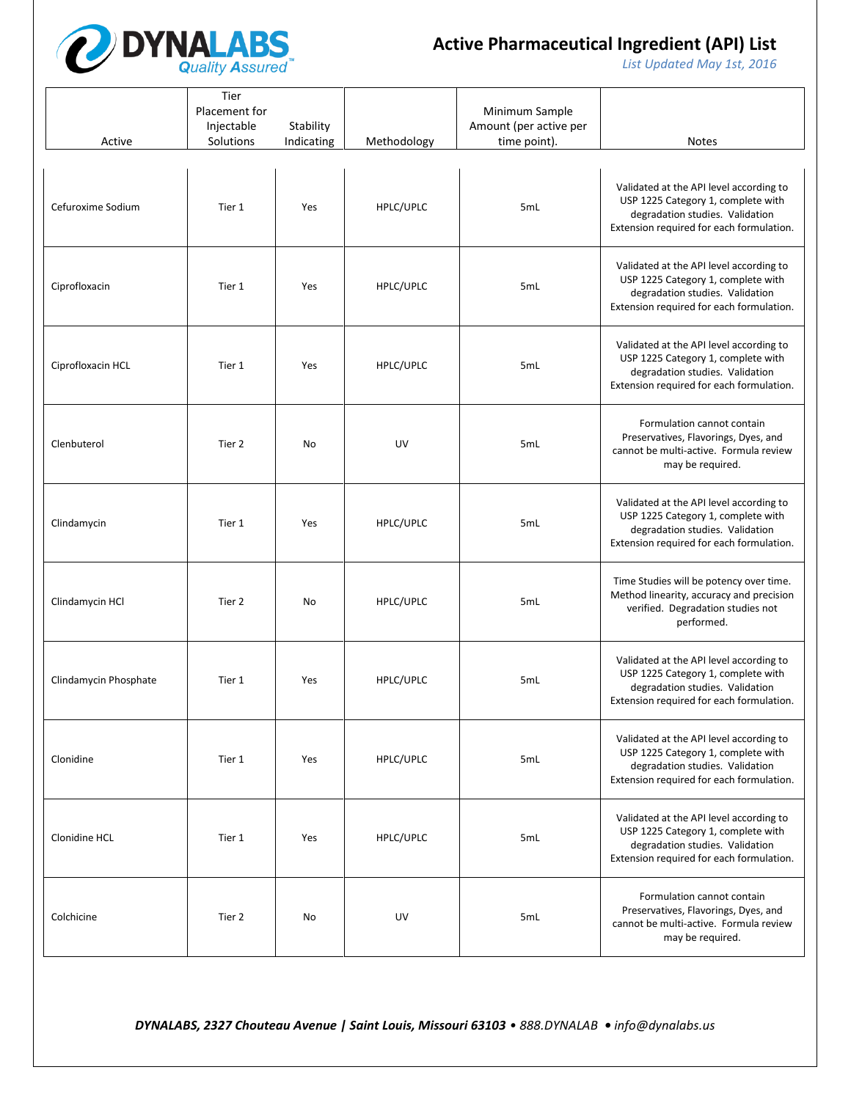

*List Updated May 1st, 2016*

| Active                | Tier<br>Placement for<br>Injectable<br>Solutions | Stability<br>Indicating | Methodology | Minimum Sample<br>Amount (per active per<br>time point). | <b>Notes</b>                                                                                                                                                 |
|-----------------------|--------------------------------------------------|-------------------------|-------------|----------------------------------------------------------|--------------------------------------------------------------------------------------------------------------------------------------------------------------|
| Cefuroxime Sodium     | Tier 1                                           | Yes                     | HPLC/UPLC   | 5mL                                                      | Validated at the API level according to<br>USP 1225 Category 1, complete with<br>degradation studies. Validation<br>Extension required for each formulation. |
| Ciprofloxacin         | Tier 1                                           | Yes                     | HPLC/UPLC   | 5mL                                                      | Validated at the API level according to<br>USP 1225 Category 1, complete with<br>degradation studies. Validation<br>Extension required for each formulation. |
| Ciprofloxacin HCL     | Tier 1                                           | Yes                     | HPLC/UPLC   | 5mL                                                      | Validated at the API level according to<br>USP 1225 Category 1, complete with<br>degradation studies. Validation<br>Extension required for each formulation. |
| Clenbuterol           | Tier 2                                           | No                      | UV          | 5mL                                                      | Formulation cannot contain<br>Preservatives, Flavorings, Dyes, and<br>cannot be multi-active. Formula review<br>may be required.                             |
| Clindamycin           | Tier 1                                           | Yes                     | HPLC/UPLC   | 5mL                                                      | Validated at the API level according to<br>USP 1225 Category 1, complete with<br>degradation studies. Validation<br>Extension required for each formulation. |
| Clindamycin HCl       | Tier 2                                           | No                      | HPLC/UPLC   | 5mL                                                      | Time Studies will be potency over time.<br>Method linearity, accuracy and precision<br>verified. Degradation studies not<br>performed.                       |
| Clindamycin Phosphate | Tier 1                                           | Yes                     | HPLC/UPLC   | 5mL                                                      | Validated at the API level according to<br>USP 1225 Category 1, complete with<br>degradation studies. Validation<br>Extension required for each formulation. |
| Clonidine             | Tier 1                                           | Yes                     | HPLC/UPLC   | 5mL                                                      | Validated at the API level according to<br>USP 1225 Category 1, complete with<br>degradation studies. Validation<br>Extension required for each formulation. |
| Clonidine HCL         | Tier 1                                           | Yes                     | HPLC/UPLC   | 5mL                                                      | Validated at the API level according to<br>USP 1225 Category 1, complete with<br>degradation studies. Validation<br>Extension required for each formulation. |
| Colchicine            | Tier 2                                           | No                      | UV          | 5mL                                                      | Formulation cannot contain<br>Preservatives, Flavorings, Dyes, and<br>cannot be multi-active. Formula review<br>may be required.                             |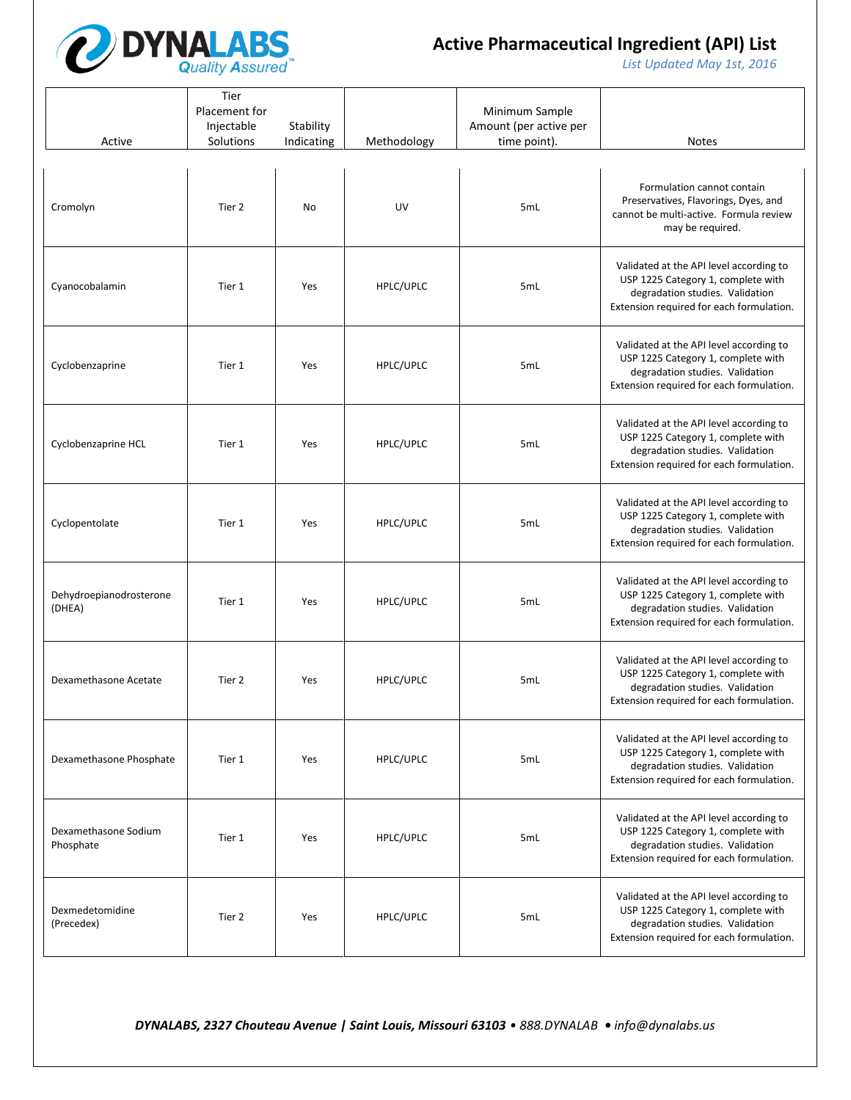

*List Updated May 1st, 2016*

| Active                            | Tier<br>Placement for<br>Injectable<br>Solutions | Stability<br>Indicating | Methodology | Minimum Sample<br>Amount (per active per<br>time point). | <b>Notes</b>                                                                                                                                                 |
|-----------------------------------|--------------------------------------------------|-------------------------|-------------|----------------------------------------------------------|--------------------------------------------------------------------------------------------------------------------------------------------------------------|
| Cromolyn                          | Tier 2                                           | No                      | UV          | 5mL                                                      | Formulation cannot contain<br>Preservatives, Flavorings, Dyes, and<br>cannot be multi-active. Formula review<br>may be required.                             |
| Cyanocobalamin                    | Tier 1                                           | Yes                     | HPLC/UPLC   | 5mL                                                      | Validated at the API level according to<br>USP 1225 Category 1, complete with<br>degradation studies. Validation<br>Extension required for each formulation. |
| Cyclobenzaprine                   | Tier 1                                           | Yes                     | HPLC/UPLC   | 5mL                                                      | Validated at the API level according to<br>USP 1225 Category 1, complete with<br>degradation studies. Validation<br>Extension required for each formulation. |
| Cyclobenzaprine HCL               | Tier 1                                           | Yes                     | HPLC/UPLC   | 5mL                                                      | Validated at the API level according to<br>USP 1225 Category 1, complete with<br>degradation studies. Validation<br>Extension required for each formulation. |
| Cyclopentolate                    | Tier 1                                           | Yes                     | HPLC/UPLC   | 5mL                                                      | Validated at the API level according to<br>USP 1225 Category 1, complete with<br>degradation studies. Validation<br>Extension required for each formulation. |
| Dehydroepianodrosterone<br>(DHEA) | Tier 1                                           | Yes                     | HPLC/UPLC   | 5mL                                                      | Validated at the API level according to<br>USP 1225 Category 1, complete with<br>degradation studies. Validation<br>Extension required for each formulation. |
| Dexamethasone Acetate             | Tier 2                                           | Yes                     | HPLC/UPLC   | 5mL                                                      | Validated at the API level according to<br>USP 1225 Category 1, complete with<br>degradation studies. Validation<br>Extension required for each formulation. |
| Dexamethasone Phosphate           | Tier 1                                           | Yes                     | HPLC/UPLC   | 5mL                                                      | Validated at the API level according to<br>USP 1225 Category 1, complete with<br>degradation studies. Validation<br>Extension required for each formulation. |
| Dexamethasone Sodium<br>Phosphate | Tier 1                                           | Yes                     | HPLC/UPLC   | 5mL                                                      | Validated at the API level according to<br>USP 1225 Category 1, complete with<br>degradation studies. Validation<br>Extension required for each formulation. |
| Dexmedetomidine<br>(Precedex)     | Tier 2                                           | Yes                     | HPLC/UPLC   | 5mL                                                      | Validated at the API level according to<br>USP 1225 Category 1, complete with<br>degradation studies. Validation<br>Extension required for each formulation. |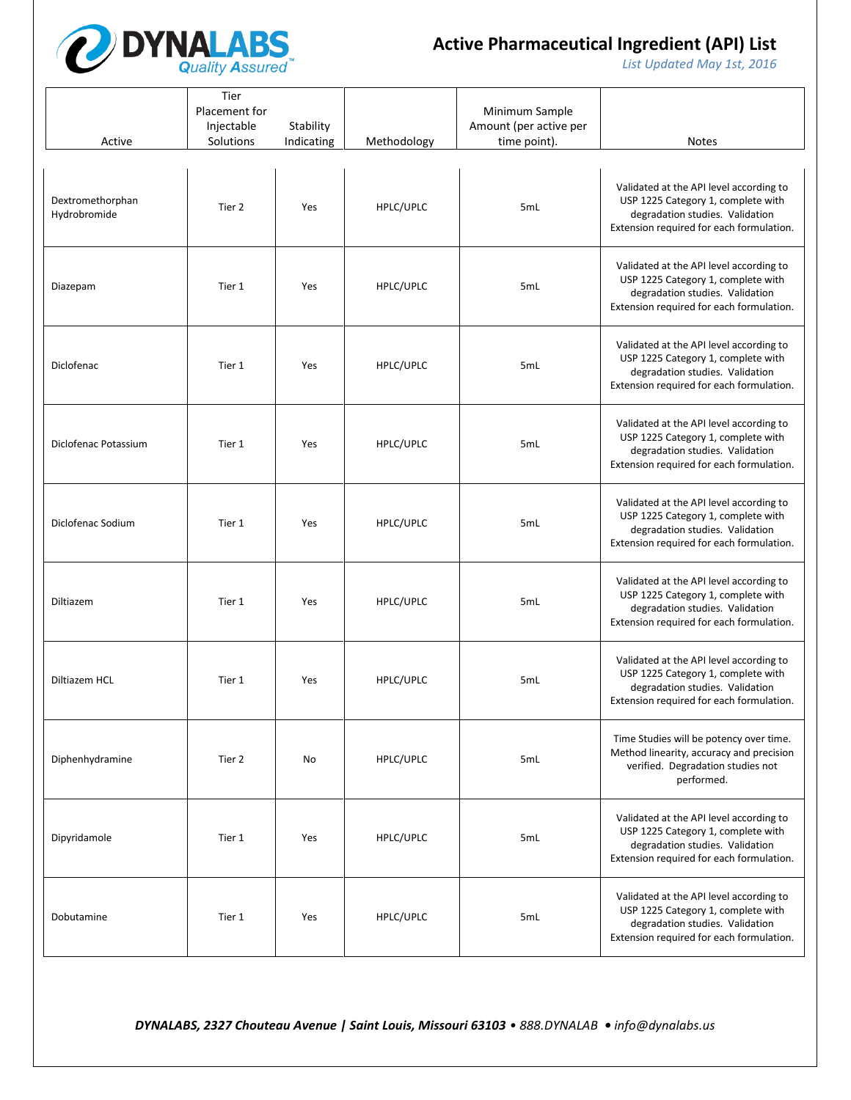

*List Updated May 1st, 2016*

| Active                           | Tier<br>Placement for<br>Injectable<br>Solutions | Stability<br>Indicating | Methodology | Minimum Sample<br>Amount (per active per<br>time point). | <b>Notes</b>                                                                                                                                                 |
|----------------------------------|--------------------------------------------------|-------------------------|-------------|----------------------------------------------------------|--------------------------------------------------------------------------------------------------------------------------------------------------------------|
| Dextromethorphan<br>Hydrobromide | Tier 2                                           | Yes                     | HPLC/UPLC   | 5mL                                                      | Validated at the API level according to<br>USP 1225 Category 1, complete with<br>degradation studies. Validation<br>Extension required for each formulation. |
| Diazepam                         | Tier 1                                           | Yes                     | HPLC/UPLC   | 5mL                                                      | Validated at the API level according to<br>USP 1225 Category 1, complete with<br>degradation studies. Validation<br>Extension required for each formulation. |
| Diclofenac                       | Tier 1                                           | Yes                     | HPLC/UPLC   | 5mL                                                      | Validated at the API level according to<br>USP 1225 Category 1, complete with<br>degradation studies. Validation<br>Extension required for each formulation. |
| Diclofenac Potassium             | Tier 1                                           | Yes                     | HPLC/UPLC   | 5mL                                                      | Validated at the API level according to<br>USP 1225 Category 1, complete with<br>degradation studies. Validation<br>Extension required for each formulation. |
| Diclofenac Sodium                | Tier 1                                           | Yes                     | HPLC/UPLC   | 5mL                                                      | Validated at the API level according to<br>USP 1225 Category 1, complete with<br>degradation studies. Validation<br>Extension required for each formulation. |
| Diltiazem                        | Tier 1                                           | Yes                     | HPLC/UPLC   | 5mL                                                      | Validated at the API level according to<br>USP 1225 Category 1, complete with<br>degradation studies. Validation<br>Extension required for each formulation. |
| Diltiazem HCL                    | Tier 1                                           | Yes                     | HPLC/UPLC   | 5mL                                                      | Validated at the API level according to<br>USP 1225 Category 1, complete with<br>degradation studies. Validation<br>Extension required for each formulation. |
| Diphenhydramine                  | Tier 2                                           | No                      | HPLC/UPLC   | 5mL                                                      | Time Studies will be potency over time.<br>Method linearity, accuracy and precision<br>verified. Degradation studies not<br>performed.                       |
| Dipyridamole                     | Tier 1                                           | Yes                     | HPLC/UPLC   | 5mL                                                      | Validated at the API level according to<br>USP 1225 Category 1, complete with<br>degradation studies. Validation<br>Extension required for each formulation. |
| Dobutamine                       | Tier 1                                           | Yes                     | HPLC/UPLC   | 5mL                                                      | Validated at the API level according to<br>USP 1225 Category 1, complete with<br>degradation studies. Validation<br>Extension required for each formulation. |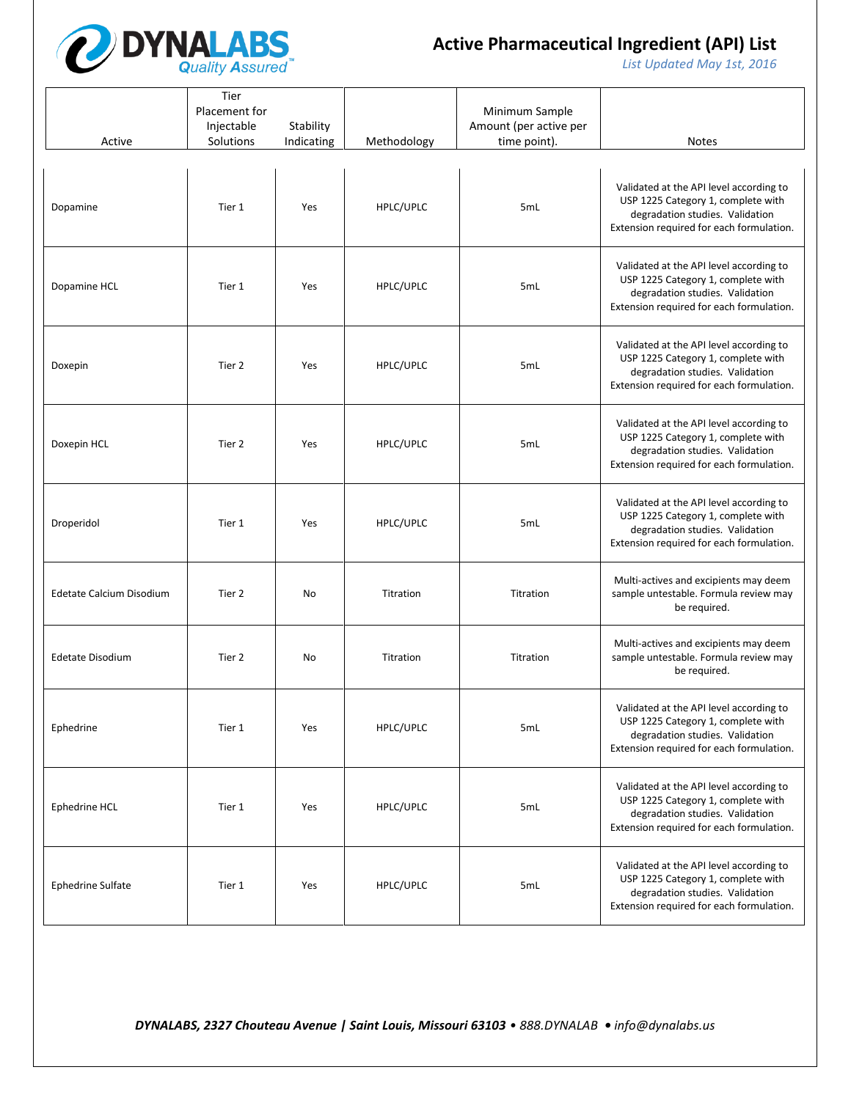

*List Updated May 1st, 2016*

| Active                   | Tier<br>Placement for<br>Injectable<br>Solutions | Stability<br>Indicating | Methodology | Minimum Sample<br>Amount (per active per<br>time point). | <b>Notes</b>                                                                                                                                                 |
|--------------------------|--------------------------------------------------|-------------------------|-------------|----------------------------------------------------------|--------------------------------------------------------------------------------------------------------------------------------------------------------------|
| Dopamine                 | Tier 1                                           | Yes                     | HPLC/UPLC   | 5mL                                                      | Validated at the API level according to<br>USP 1225 Category 1, complete with<br>degradation studies. Validation<br>Extension required for each formulation. |
| Dopamine HCL             | Tier 1                                           | Yes                     | HPLC/UPLC   | 5mL                                                      | Validated at the API level according to<br>USP 1225 Category 1, complete with<br>degradation studies. Validation<br>Extension required for each formulation. |
| Doxepin                  | Tier 2                                           | Yes                     | HPLC/UPLC   | 5mL                                                      | Validated at the API level according to<br>USP 1225 Category 1, complete with<br>degradation studies. Validation<br>Extension required for each formulation. |
| Doxepin HCL              | Tier 2                                           | Yes                     | HPLC/UPLC   | 5mL                                                      | Validated at the API level according to<br>USP 1225 Category 1, complete with<br>degradation studies. Validation<br>Extension required for each formulation. |
| Droperidol               | Tier 1                                           | Yes                     | HPLC/UPLC   | 5 <sub>mL</sub>                                          | Validated at the API level according to<br>USP 1225 Category 1, complete with<br>degradation studies. Validation<br>Extension required for each formulation. |
| Edetate Calcium Disodium | Tier 2                                           | No                      | Titration   | Titration                                                | Multi-actives and excipients may deem<br>sample untestable. Formula review may<br>be required.                                                               |
| <b>Edetate Disodium</b>  | Tier 2                                           | No                      | Titration   | Titration                                                | Multi-actives and excipients may deem<br>sample untestable. Formula review may<br>be required.                                                               |
| Ephedrine                | Tier 1                                           | Yes                     | HPLC/UPLC   | 5mL                                                      | Validated at the API level according to<br>USP 1225 Category 1, complete with<br>degradation studies. Validation<br>Extension required for each formulation. |
| Ephedrine HCL            | Tier 1                                           | Yes                     | HPLC/UPLC   | 5mL                                                      | Validated at the API level according to<br>USP 1225 Category 1, complete with<br>degradation studies. Validation<br>Extension required for each formulation. |
| Ephedrine Sulfate        | Tier 1                                           | Yes                     | HPLC/UPLC   | 5mL                                                      | Validated at the API level according to<br>USP 1225 Category 1, complete with<br>degradation studies. Validation<br>Extension required for each formulation. |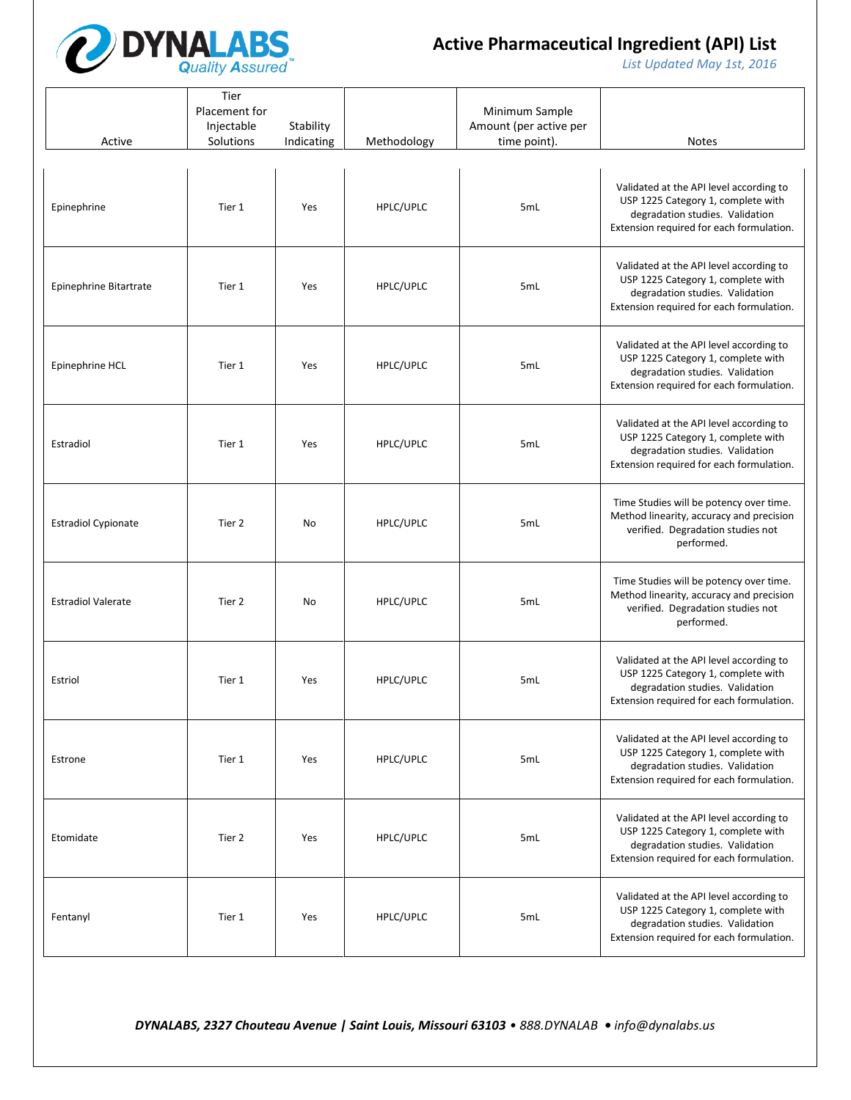

*List Updated May 1st, 2016*

| Active                     | Tier<br>Placement for<br>Injectable<br>Solutions | Stability<br>Indicating | Methodology | Minimum Sample<br>Amount (per active per<br>time point). | <b>Notes</b>                                                                                                                                                 |
|----------------------------|--------------------------------------------------|-------------------------|-------------|----------------------------------------------------------|--------------------------------------------------------------------------------------------------------------------------------------------------------------|
| Epinephrine                | Tier 1                                           | Yes                     | HPLC/UPLC   | 5mL                                                      | Validated at the API level according to<br>USP 1225 Category 1, complete with<br>degradation studies. Validation<br>Extension required for each formulation. |
| Epinephrine Bitartrate     | Tier 1                                           | Yes                     | HPLC/UPLC   | 5mL                                                      | Validated at the API level according to<br>USP 1225 Category 1, complete with<br>degradation studies. Validation<br>Extension required for each formulation. |
| Epinephrine HCL            | Tier 1                                           | Yes                     | HPLC/UPLC   | 5mL                                                      | Validated at the API level according to<br>USP 1225 Category 1, complete with<br>degradation studies. Validation<br>Extension required for each formulation. |
| Estradiol                  | Tier 1                                           | Yes                     | HPLC/UPLC   | 5mL                                                      | Validated at the API level according to<br>USP 1225 Category 1, complete with<br>degradation studies. Validation<br>Extension required for each formulation. |
| <b>Estradiol Cypionate</b> | Tier 2                                           | No                      | HPLC/UPLC   | 5mL                                                      | Time Studies will be potency over time.<br>Method linearity, accuracy and precision<br>verified. Degradation studies not<br>performed.                       |
| <b>Estradiol Valerate</b>  | Tier 2                                           | No                      | HPLC/UPLC   | 5mL                                                      | Time Studies will be potency over time.<br>Method linearity, accuracy and precision<br>verified. Degradation studies not<br>performed.                       |
| Estriol                    | Tier 1                                           | Yes                     | HPLC/UPLC   | 5mL                                                      | Validated at the API level according to<br>USP 1225 Category 1, complete with<br>degradation studies. Validation<br>Extension required for each formulation. |
| Estrone                    | Tier 1                                           | Yes                     | HPLC/UPLC   | 5mL                                                      | Validated at the API level according to<br>USP 1225 Category 1, complete with<br>degradation studies. Validation<br>Extension required for each formulation. |
| Etomidate                  | Tier 2                                           | Yes                     | HPLC/UPLC   | 5mL                                                      | Validated at the API level according to<br>USP 1225 Category 1, complete with<br>degradation studies. Validation<br>Extension required for each formulation. |
| Fentanyl                   | Tier 1                                           | Yes                     | HPLC/UPLC   | 5mL                                                      | Validated at the API level according to<br>USP 1225 Category 1, complete with<br>degradation studies. Validation<br>Extension required for each formulation. |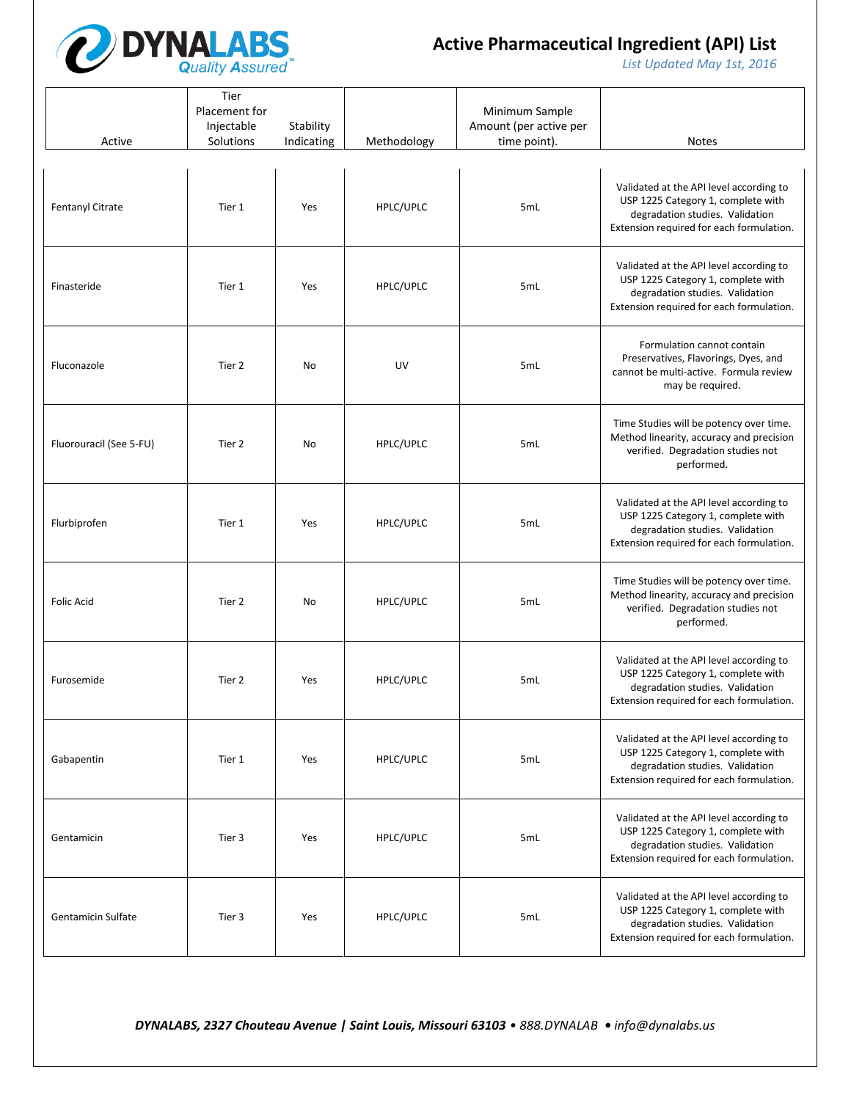

*List Updated May 1st, 2016*

| Active                    | Tier<br>Placement for<br>Injectable<br>Solutions | Stability<br>Indicating | Methodology | Minimum Sample<br>Amount (per active per<br>time point). | <b>Notes</b>                                                                                                                                                 |
|---------------------------|--------------------------------------------------|-------------------------|-------------|----------------------------------------------------------|--------------------------------------------------------------------------------------------------------------------------------------------------------------|
| Fentanyl Citrate          | Tier 1                                           | Yes                     | HPLC/UPLC   | 5mL                                                      | Validated at the API level according to<br>USP 1225 Category 1, complete with<br>degradation studies. Validation<br>Extension required for each formulation. |
| Finasteride               | Tier 1                                           | Yes                     | HPLC/UPLC   | 5mL                                                      | Validated at the API level according to<br>USP 1225 Category 1, complete with<br>degradation studies. Validation<br>Extension required for each formulation. |
| Fluconazole               | Tier 2                                           | No                      | UV          | 5mL                                                      | Formulation cannot contain<br>Preservatives, Flavorings, Dyes, and<br>cannot be multi-active. Formula review<br>may be required.                             |
| Fluorouracil (See 5-FU)   | Tier 2                                           | No                      | HPLC/UPLC   | 5mL                                                      | Time Studies will be potency over time.<br>Method linearity, accuracy and precision<br>verified. Degradation studies not<br>performed.                       |
| Flurbiprofen              | Tier 1                                           | Yes                     | HPLC/UPLC   | 5mL                                                      | Validated at the API level according to<br>USP 1225 Category 1, complete with<br>degradation studies. Validation<br>Extension required for each formulation. |
| <b>Folic Acid</b>         | Tier 2                                           | No                      | HPLC/UPLC   | 5mL                                                      | Time Studies will be potency over time.<br>Method linearity, accuracy and precision<br>verified. Degradation studies not<br>performed.                       |
| Furosemide                | Tier 2                                           | Yes                     | HPLC/UPLC   | 5mL                                                      | Validated at the API level according to<br>USP 1225 Category 1, complete with<br>degradation studies. Validation<br>Extension required for each formulation. |
| Gabapentin                | Tier 1                                           | Yes                     | HPLC/UPLC   | 5mL                                                      | Validated at the API level according to<br>USP 1225 Category 1, complete with<br>degradation studies. Validation<br>Extension required for each formulation. |
| Gentamicin                | Tier 3                                           | Yes                     | HPLC/UPLC   | 5mL                                                      | Validated at the API level according to<br>USP 1225 Category 1, complete with<br>degradation studies. Validation<br>Extension required for each formulation. |
| <b>Gentamicin Sulfate</b> | Tier 3                                           | Yes                     | HPLC/UPLC   | 5mL                                                      | Validated at the API level according to<br>USP 1225 Category 1, complete with<br>degradation studies. Validation<br>Extension required for each formulation. |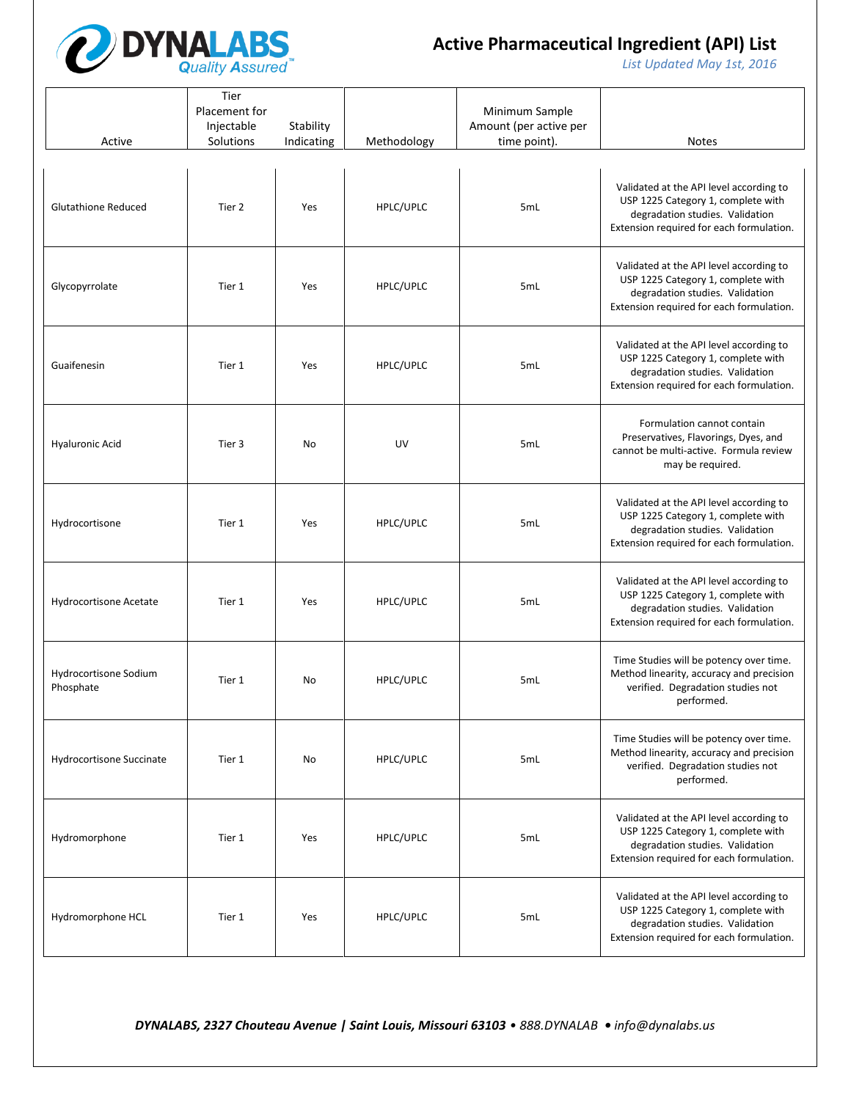

*List Updated May 1st, 2016*

| Active                             | Tier<br>Placement for<br>Injectable<br>Solutions | Stability<br>Indicating | Methodology | Minimum Sample<br>Amount (per active per<br>time point). | <b>Notes</b>                                                                                                                                                 |
|------------------------------------|--------------------------------------------------|-------------------------|-------------|----------------------------------------------------------|--------------------------------------------------------------------------------------------------------------------------------------------------------------|
| <b>Glutathione Reduced</b>         | Tier 2                                           | Yes                     | HPLC/UPLC   | 5mL                                                      | Validated at the API level according to<br>USP 1225 Category 1, complete with<br>degradation studies. Validation<br>Extension required for each formulation. |
| Glycopyrrolate                     | Tier 1                                           | Yes                     | HPLC/UPLC   | 5mL                                                      | Validated at the API level according to<br>USP 1225 Category 1, complete with<br>degradation studies. Validation<br>Extension required for each formulation. |
| Guaifenesin                        | Tier 1                                           | Yes                     | HPLC/UPLC   | 5mL                                                      | Validated at the API level according to<br>USP 1225 Category 1, complete with<br>degradation studies. Validation<br>Extension required for each formulation. |
| <b>Hyaluronic Acid</b>             | Tier 3                                           | No                      | UV          | 5mL                                                      | Formulation cannot contain<br>Preservatives, Flavorings, Dyes, and<br>cannot be multi-active. Formula review<br>may be required.                             |
| Hydrocortisone                     | Tier 1                                           | Yes                     | HPLC/UPLC   | 5mL                                                      | Validated at the API level according to<br>USP 1225 Category 1, complete with<br>degradation studies. Validation<br>Extension required for each formulation. |
| Hydrocortisone Acetate             | Tier 1                                           | Yes                     | HPLC/UPLC   | 5mL                                                      | Validated at the API level according to<br>USP 1225 Category 1, complete with<br>degradation studies. Validation<br>Extension required for each formulation. |
| Hydrocortisone Sodium<br>Phosphate | Tier 1                                           | No                      | HPLC/UPLC   | 5 <sub>mL</sub>                                          | Time Studies will be potency over time.<br>Method linearity, accuracy and precision<br>verified. Degradation studies not<br>performed.                       |
| Hydrocortisone Succinate           | Tier 1                                           | No                      | HPLC/UPLC   | 5 <sub>mL</sub>                                          | Time Studies will be potency over time.<br>Method linearity, accuracy and precision<br>verified. Degradation studies not<br>performed.                       |
| Hydromorphone                      | Tier 1                                           | Yes                     | HPLC/UPLC   | 5mL                                                      | Validated at the API level according to<br>USP 1225 Category 1, complete with<br>degradation studies. Validation<br>Extension required for each formulation. |
| Hydromorphone HCL                  | Tier 1                                           | Yes                     | HPLC/UPLC   | 5mL                                                      | Validated at the API level according to<br>USP 1225 Category 1, complete with<br>degradation studies. Validation<br>Extension required for each formulation. |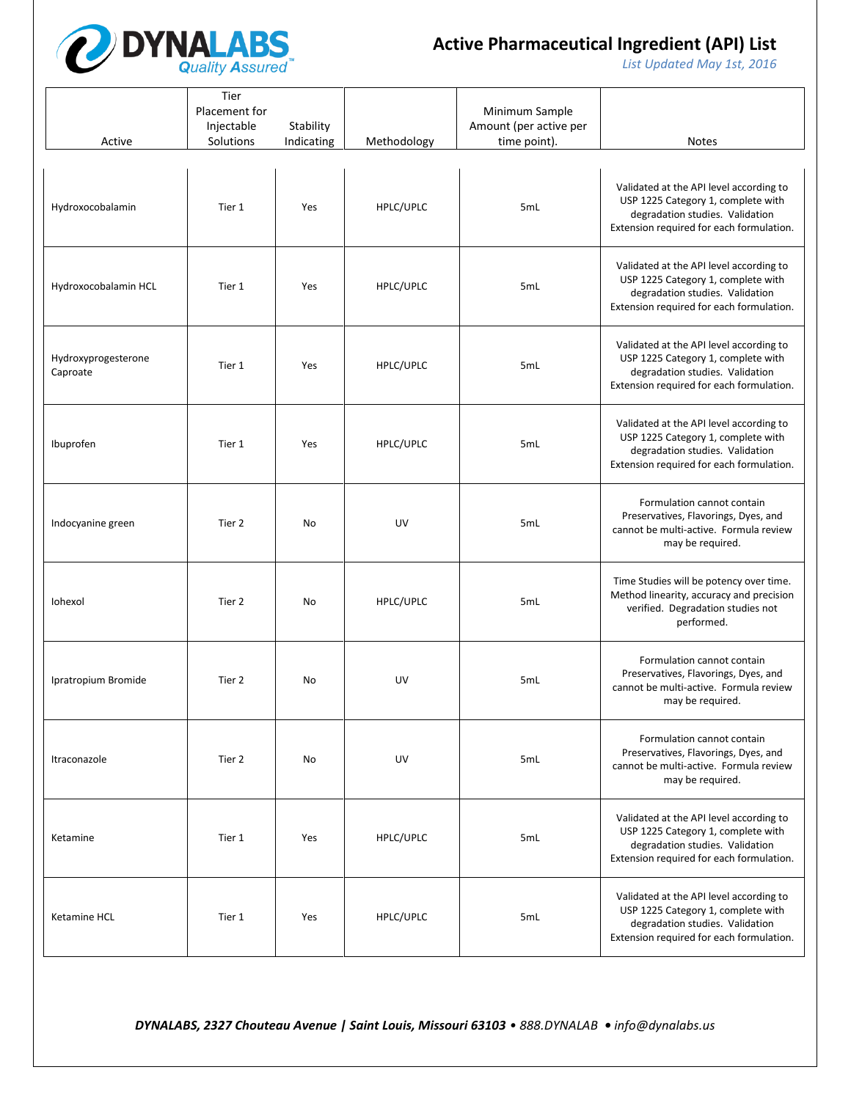

*List Updated May 1st, 2016*

| Active                          | Tier<br>Placement for<br>Injectable<br>Solutions | Stability<br>Indicating | Methodology | Minimum Sample<br>Amount (per active per<br>time point). | <b>Notes</b>                                                                                                                                                 |
|---------------------------------|--------------------------------------------------|-------------------------|-------------|----------------------------------------------------------|--------------------------------------------------------------------------------------------------------------------------------------------------------------|
| Hydroxocobalamin                | Tier 1                                           | Yes                     | HPLC/UPLC   | 5mL                                                      | Validated at the API level according to<br>USP 1225 Category 1, complete with<br>degradation studies. Validation<br>Extension required for each formulation. |
| Hydroxocobalamin HCL            | Tier 1                                           | Yes                     | HPLC/UPLC   | 5mL                                                      | Validated at the API level according to<br>USP 1225 Category 1, complete with<br>degradation studies. Validation<br>Extension required for each formulation. |
| Hydroxyprogesterone<br>Caproate | Tier 1                                           | Yes                     | HPLC/UPLC   | 5mL                                                      | Validated at the API level according to<br>USP 1225 Category 1, complete with<br>degradation studies. Validation<br>Extension required for each formulation. |
| Ibuprofen                       | Tier 1                                           | Yes                     | HPLC/UPLC   | 5mL                                                      | Validated at the API level according to<br>USP 1225 Category 1, complete with<br>degradation studies. Validation<br>Extension required for each formulation. |
| Indocyanine green               | Tier 2                                           | No                      | UV          | 5mL                                                      | Formulation cannot contain<br>Preservatives, Flavorings, Dyes, and<br>cannot be multi-active. Formula review<br>may be required.                             |
| Iohexol                         | Tier 2                                           | No                      | HPLC/UPLC   | 5mL                                                      | Time Studies will be potency over time.<br>Method linearity, accuracy and precision<br>verified. Degradation studies not<br>performed.                       |
| Ipratropium Bromide             | Tier 2                                           | No                      | UV          | 5mL                                                      | Formulation cannot contain<br>Preservatives, Flavorings, Dyes, and<br>cannot be multi-active. Formula review<br>may be required.                             |
| Itraconazole                    | Tier 2                                           | No                      | UV          | 5mL                                                      | Formulation cannot contain<br>Preservatives, Flavorings, Dyes, and<br>cannot be multi-active. Formula review<br>may be required.                             |
| Ketamine                        | Tier 1                                           | Yes                     | HPLC/UPLC   | 5mL                                                      | Validated at the API level according to<br>USP 1225 Category 1, complete with<br>degradation studies. Validation<br>Extension required for each formulation. |
| Ketamine HCL                    | Tier 1                                           | Yes                     | HPLC/UPLC   | 5mL                                                      | Validated at the API level according to<br>USP 1225 Category 1, complete with<br>degradation studies. Validation<br>Extension required for each formulation. |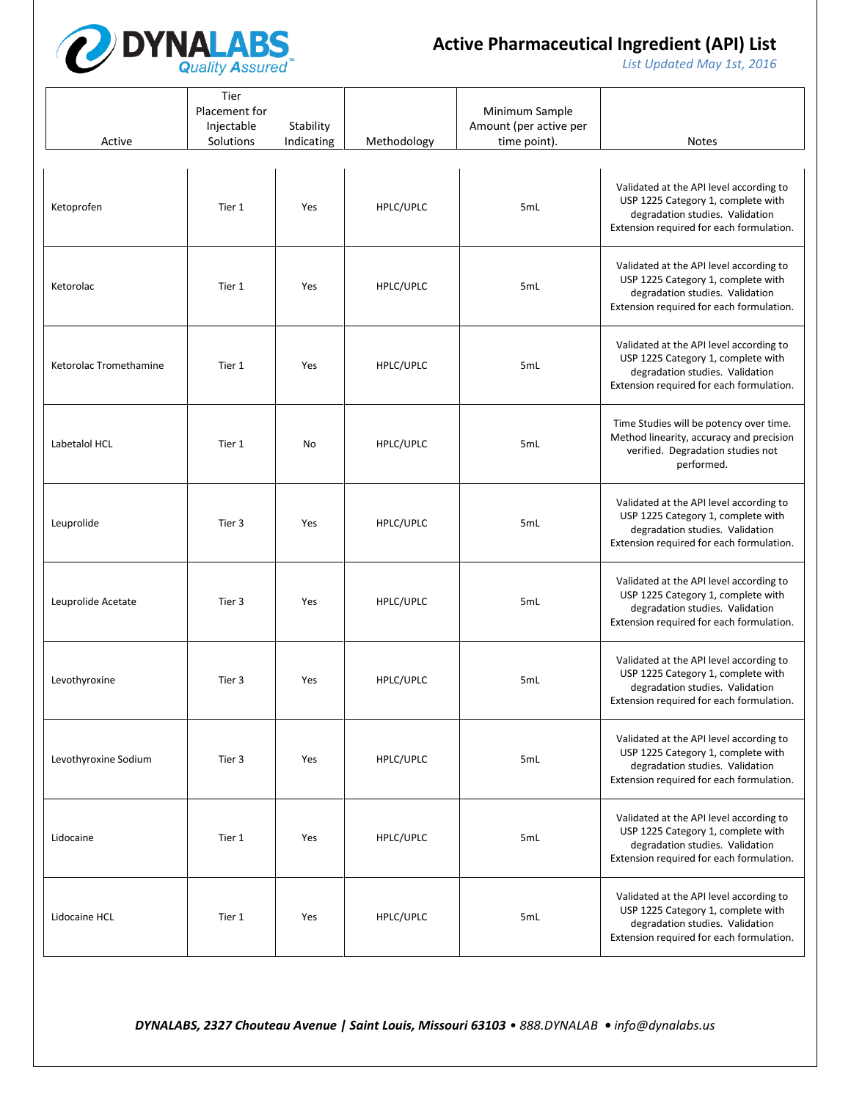

*List Updated May 1st, 2016*

| Active                 | Tier<br>Placement for<br>Injectable<br>Solutions | Stability<br>Indicating | Methodology | Minimum Sample<br>Amount (per active per<br>time point). | <b>Notes</b>                                                                                                                                                 |
|------------------------|--------------------------------------------------|-------------------------|-------------|----------------------------------------------------------|--------------------------------------------------------------------------------------------------------------------------------------------------------------|
| Ketoprofen             | Tier 1                                           | Yes                     | HPLC/UPLC   | 5mL                                                      | Validated at the API level according to<br>USP 1225 Category 1, complete with<br>degradation studies. Validation<br>Extension required for each formulation. |
| Ketorolac              | Tier 1                                           | Yes                     | HPLC/UPLC   | 5mL                                                      | Validated at the API level according to<br>USP 1225 Category 1, complete with<br>degradation studies. Validation<br>Extension required for each formulation. |
| Ketorolac Tromethamine | Tier 1                                           | Yes                     | HPLC/UPLC   | 5mL                                                      | Validated at the API level according to<br>USP 1225 Category 1, complete with<br>degradation studies. Validation<br>Extension required for each formulation. |
| Labetalol HCL          | Tier 1                                           | No                      | HPLC/UPLC   | 5mL                                                      | Time Studies will be potency over time.<br>Method linearity, accuracy and precision<br>verified. Degradation studies not<br>performed.                       |
| Leuprolide             | Tier 3                                           | Yes                     | HPLC/UPLC   | 5mL                                                      | Validated at the API level according to<br>USP 1225 Category 1, complete with<br>degradation studies. Validation<br>Extension required for each formulation. |
| Leuprolide Acetate     | Tier 3                                           | Yes                     | HPLC/UPLC   | 5mL                                                      | Validated at the API level according to<br>USP 1225 Category 1, complete with<br>degradation studies. Validation<br>Extension required for each formulation. |
| Levothyroxine          | Tier 3                                           | Yes                     | HPLC/UPLC   | 5mL                                                      | Validated at the API level according to<br>USP 1225 Category 1, complete with<br>degradation studies. Validation<br>Extension required for each formulation. |
| Levothyroxine Sodium   | Tier 3                                           | Yes                     | HPLC/UPLC   | 5mL                                                      | Validated at the API level according to<br>USP 1225 Category 1, complete with<br>degradation studies. Validation<br>Extension required for each formulation. |
| Lidocaine              | Tier 1                                           | Yes                     | HPLC/UPLC   | 5mL                                                      | Validated at the API level according to<br>USP 1225 Category 1, complete with<br>degradation studies. Validation<br>Extension required for each formulation. |
| Lidocaine HCL          | Tier 1                                           | Yes                     | HPLC/UPLC   | 5mL                                                      | Validated at the API level according to<br>USP 1225 Category 1, complete with<br>degradation studies. Validation<br>Extension required for each formulation. |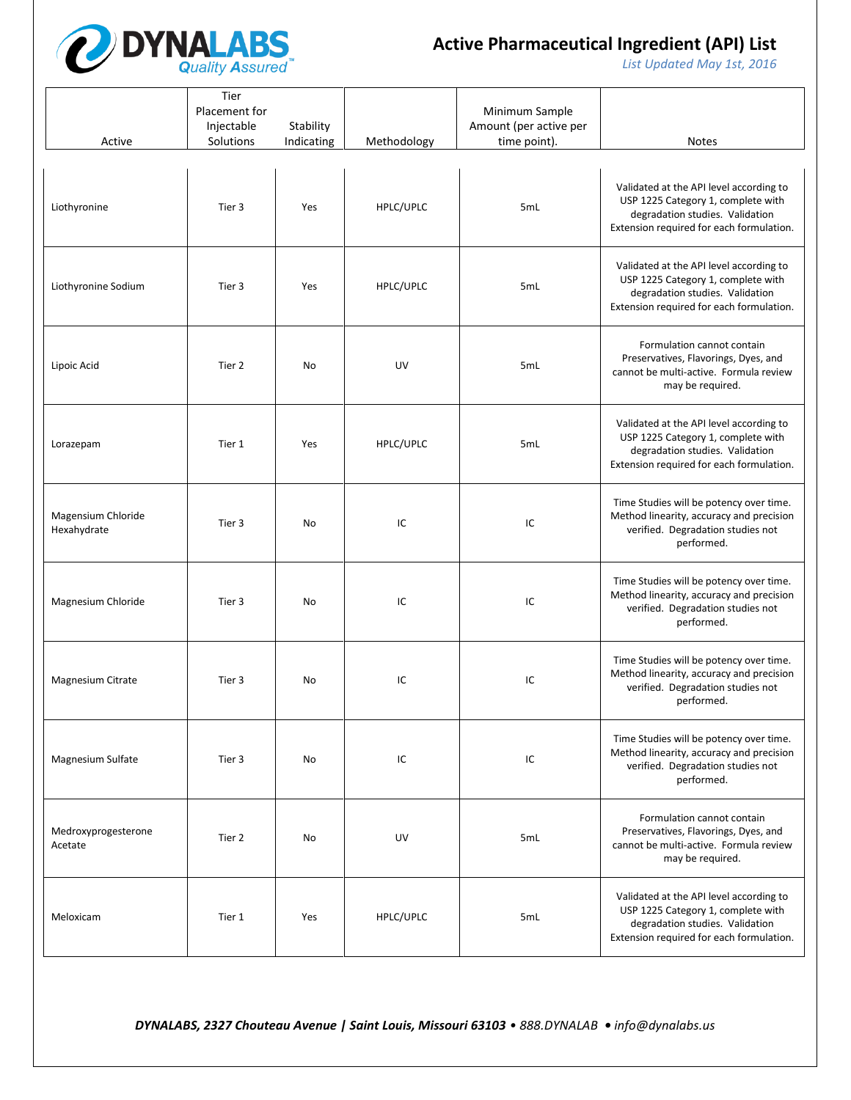

*List Updated May 1st, 2016*

| Active                            | Tier<br>Placement for<br>Injectable<br>Solutions | Stability<br>Indicating | Methodology | Minimum Sample<br>Amount (per active per<br>time point). | <b>Notes</b>                                                                                                                                                 |
|-----------------------------------|--------------------------------------------------|-------------------------|-------------|----------------------------------------------------------|--------------------------------------------------------------------------------------------------------------------------------------------------------------|
| Liothyronine                      | Tier 3                                           | Yes                     | HPLC/UPLC   | 5mL                                                      | Validated at the API level according to<br>USP 1225 Category 1, complete with<br>degradation studies. Validation<br>Extension required for each formulation. |
| Liothyronine Sodium               | Tier 3                                           | Yes                     | HPLC/UPLC   | 5mL                                                      | Validated at the API level according to<br>USP 1225 Category 1, complete with<br>degradation studies. Validation<br>Extension required for each formulation. |
| Lipoic Acid                       | Tier 2                                           | No                      | UV          | 5mL                                                      | Formulation cannot contain<br>Preservatives, Flavorings, Dyes, and<br>cannot be multi-active. Formula review<br>may be required.                             |
| Lorazepam                         | Tier 1                                           | Yes                     | HPLC/UPLC   | 5mL                                                      | Validated at the API level according to<br>USP 1225 Category 1, complete with<br>degradation studies. Validation<br>Extension required for each formulation. |
| Magensium Chloride<br>Hexahydrate | Tier 3                                           | No                      | IC          | IC                                                       | Time Studies will be potency over time.<br>Method linearity, accuracy and precision<br>verified. Degradation studies not<br>performed.                       |
| Magnesium Chloride                | Tier 3                                           | No                      | IC          | IC                                                       | Time Studies will be potency over time.<br>Method linearity, accuracy and precision<br>verified. Degradation studies not<br>performed.                       |
| Magnesium Citrate                 | Tier 3                                           | No                      | IC          | IC                                                       | Time Studies will be potency over time.<br>Method linearity, accuracy and precision<br>verified. Degradation studies not<br>performed.                       |
| Magnesium Sulfate                 | Tier 3                                           | No                      | IC          | IC                                                       | Time Studies will be potency over time.<br>Method linearity, accuracy and precision<br>verified. Degradation studies not<br>performed.                       |
| Medroxyprogesterone<br>Acetate    | Tier 2                                           | No                      | UV          | 5mL                                                      | Formulation cannot contain<br>Preservatives, Flavorings, Dyes, and<br>cannot be multi-active. Formula review<br>may be required.                             |
| Meloxicam                         | Tier 1                                           | Yes                     | HPLC/UPLC   | 5mL                                                      | Validated at the API level according to<br>USP 1225 Category 1, complete with<br>degradation studies. Validation<br>Extension required for each formulation. |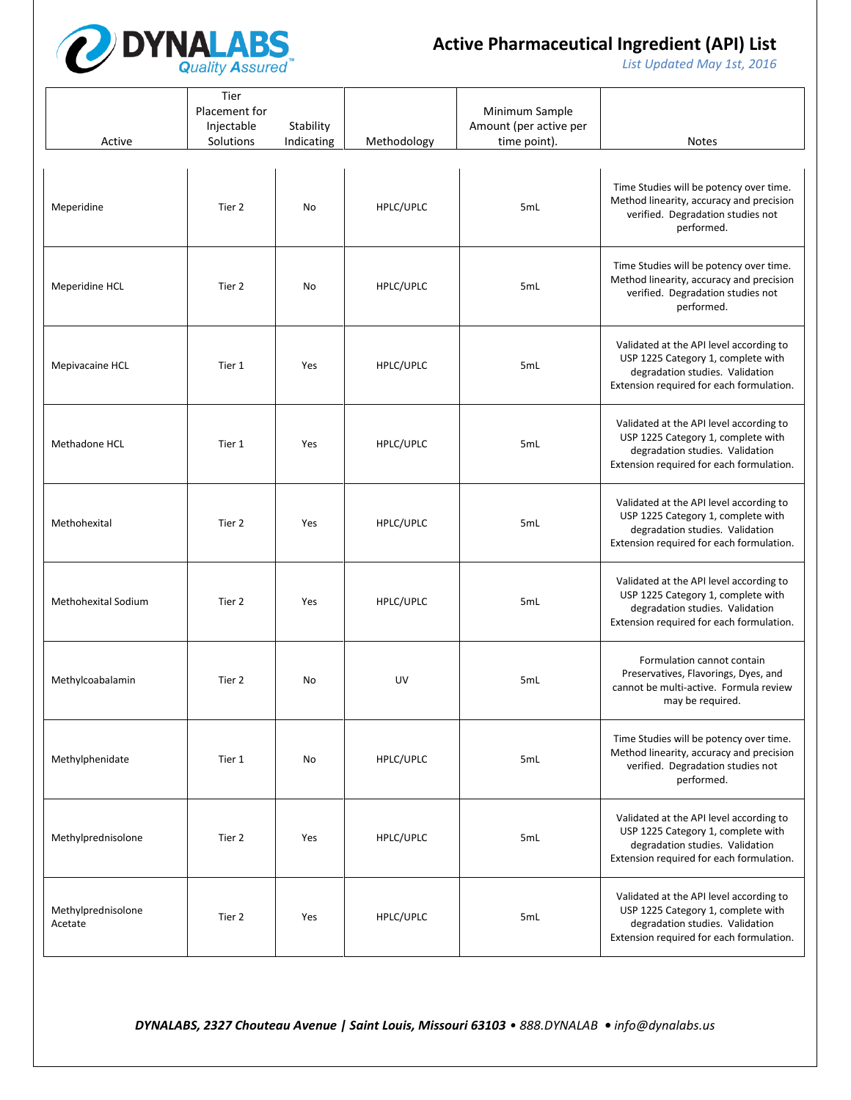

*List Updated May 1st, 2016*

| Active                        | Tier<br>Placement for<br>Injectable<br>Solutions | Stability<br>Indicating | Methodology | Minimum Sample<br>Amount (per active per<br>time point). | <b>Notes</b>                                                                                                                                                 |
|-------------------------------|--------------------------------------------------|-------------------------|-------------|----------------------------------------------------------|--------------------------------------------------------------------------------------------------------------------------------------------------------------|
| Meperidine                    | Tier 2                                           | No                      | HPLC/UPLC   | 5mL                                                      | Time Studies will be potency over time.<br>Method linearity, accuracy and precision<br>verified. Degradation studies not<br>performed.                       |
| Meperidine HCL                | Tier 2                                           | No                      | HPLC/UPLC   | 5mL                                                      | Time Studies will be potency over time.<br>Method linearity, accuracy and precision<br>verified. Degradation studies not<br>performed.                       |
| Mepivacaine HCL               | Tier 1                                           | Yes                     | HPLC/UPLC   | 5mL                                                      | Validated at the API level according to<br>USP 1225 Category 1, complete with<br>degradation studies. Validation<br>Extension required for each formulation. |
| Methadone HCL                 | Tier 1                                           | Yes                     | HPLC/UPLC   | 5mL                                                      | Validated at the API level according to<br>USP 1225 Category 1, complete with<br>degradation studies. Validation<br>Extension required for each formulation. |
| Methohexital                  | Tier 2                                           | Yes                     | HPLC/UPLC   | 5mL                                                      | Validated at the API level according to<br>USP 1225 Category 1, complete with<br>degradation studies. Validation<br>Extension required for each formulation. |
| <b>Methohexital Sodium</b>    | Tier 2                                           | Yes                     | HPLC/UPLC   | 5mL                                                      | Validated at the API level according to<br>USP 1225 Category 1, complete with<br>degradation studies. Validation<br>Extension required for each formulation. |
| Methylcoabalamin              | Tier 2                                           | No                      | UV          | 5mL                                                      | Formulation cannot contain<br>Preservatives, Flavorings, Dyes, and<br>cannot be multi-active. Formula review<br>may be required.                             |
| Methylphenidate               | Tier 1                                           | No                      | HPLC/UPLC   | 5mL                                                      | Time Studies will be potency over time.<br>Method linearity, accuracy and precision<br>verified. Degradation studies not<br>performed.                       |
| Methylprednisolone            | Tier 2                                           | Yes                     | HPLC/UPLC   | 5mL                                                      | Validated at the API level according to<br>USP 1225 Category 1, complete with<br>degradation studies. Validation<br>Extension required for each formulation. |
| Methylprednisolone<br>Acetate | Tier 2                                           | Yes                     | HPLC/UPLC   | 5mL                                                      | Validated at the API level according to<br>USP 1225 Category 1, complete with<br>degradation studies. Validation<br>Extension required for each formulation. |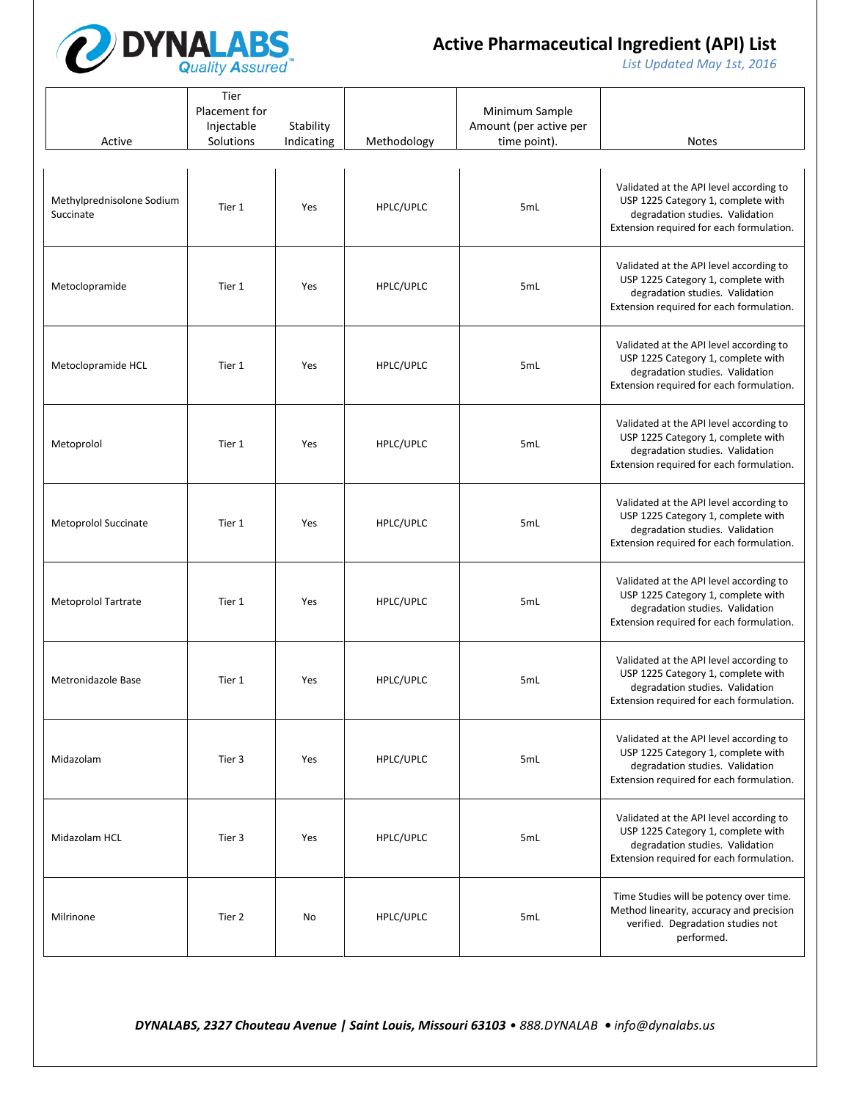

*List Updated May 1st, 2016*

| Active                                 | Tier<br>Placement for<br>Injectable<br>Solutions | Stability<br>Indicating | Methodology | Minimum Sample<br>Amount (per active per<br>time point). | <b>Notes</b>                                                                                                                                                 |
|----------------------------------------|--------------------------------------------------|-------------------------|-------------|----------------------------------------------------------|--------------------------------------------------------------------------------------------------------------------------------------------------------------|
| Methylprednisolone Sodium<br>Succinate | Tier 1                                           | Yes                     | HPLC/UPLC   | 5mL                                                      | Validated at the API level according to<br>USP 1225 Category 1, complete with<br>degradation studies. Validation<br>Extension required for each formulation. |
| Metoclopramide                         | Tier 1                                           | Yes                     | HPLC/UPLC   | 5mL                                                      | Validated at the API level according to<br>USP 1225 Category 1, complete with<br>degradation studies. Validation<br>Extension required for each formulation. |
| Metoclopramide HCL                     | Tier 1                                           | Yes                     | HPLC/UPLC   | 5mL                                                      | Validated at the API level according to<br>USP 1225 Category 1, complete with<br>degradation studies. Validation<br>Extension required for each formulation. |
| Metoprolol                             | Tier 1                                           | Yes                     | HPLC/UPLC   | 5mL                                                      | Validated at the API level according to<br>USP 1225 Category 1, complete with<br>degradation studies. Validation<br>Extension required for each formulation. |
| Metoprolol Succinate                   | Tier 1                                           | Yes                     | HPLC/UPLC   | 5mL                                                      | Validated at the API level according to<br>USP 1225 Category 1, complete with<br>degradation studies. Validation<br>Extension required for each formulation. |
| Metoprolol Tartrate                    | Tier 1                                           | Yes                     | HPLC/UPLC   | 5mL                                                      | Validated at the API level according to<br>USP 1225 Category 1, complete with<br>degradation studies. Validation<br>Extension required for each formulation. |
| Metronidazole Base                     | Tier 1                                           | Yes                     | HPLC/UPLC   | 5mL                                                      | Validated at the API level according to<br>USP 1225 Category 1, complete with<br>degradation studies. Validation<br>Extension required for each formulation. |
| Midazolam                              | Tier 3                                           | Yes                     | HPLC/UPLC   | 5mL                                                      | Validated at the API level according to<br>USP 1225 Category 1, complete with<br>degradation studies. Validation<br>Extension required for each formulation. |
| Midazolam HCL                          | Tier 3                                           | Yes                     | HPLC/UPLC   | 5mL                                                      | Validated at the API level according to<br>USP 1225 Category 1, complete with<br>degradation studies. Validation<br>Extension required for each formulation. |
| Milrinone                              | Tier 2                                           | No                      | HPLC/UPLC   | 5mL                                                      | Time Studies will be potency over time.<br>Method linearity, accuracy and precision<br>verified. Degradation studies not<br>performed.                       |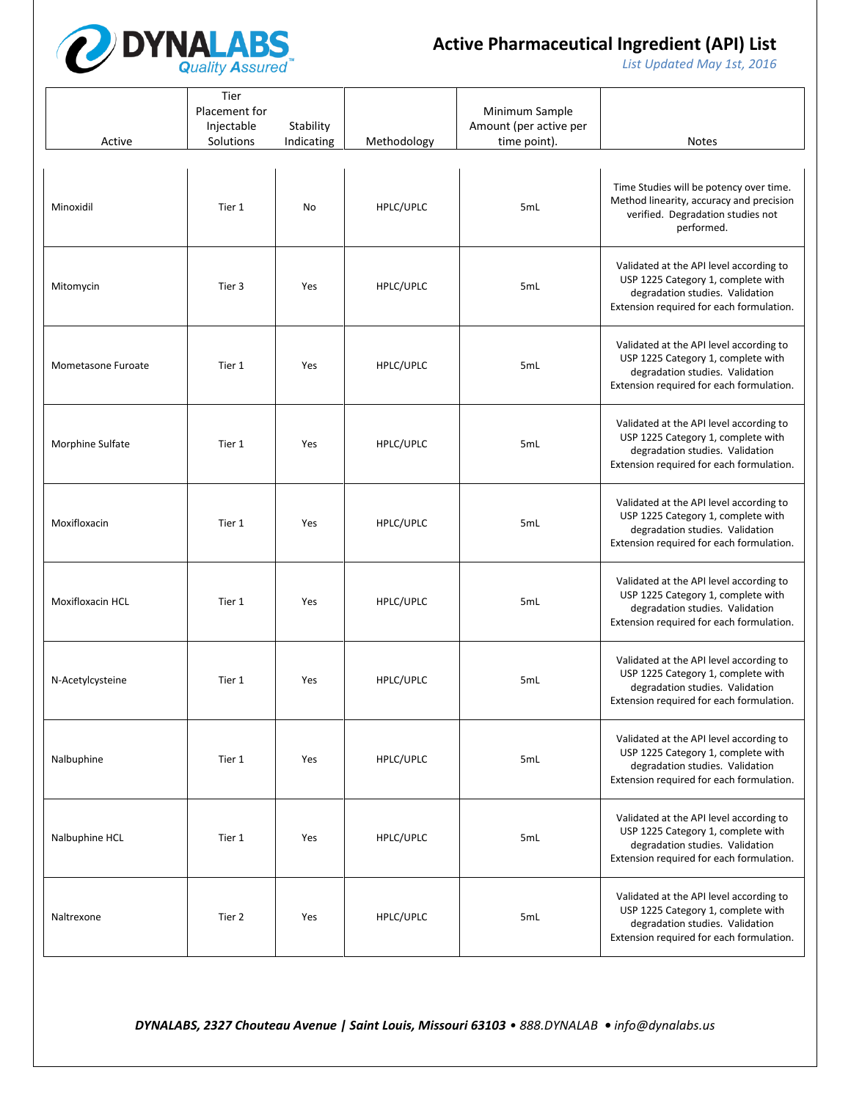

*List Updated May 1st, 2016*

| Active             | Tier<br>Placement for<br>Injectable<br>Solutions | Stability<br>Indicating | Methodology | Minimum Sample<br>Amount (per active per<br>time point). | <b>Notes</b>                                                                                                                                                 |
|--------------------|--------------------------------------------------|-------------------------|-------------|----------------------------------------------------------|--------------------------------------------------------------------------------------------------------------------------------------------------------------|
| Minoxidil          | Tier 1                                           | No                      | HPLC/UPLC   | 5mL                                                      | Time Studies will be potency over time.<br>Method linearity, accuracy and precision<br>verified. Degradation studies not<br>performed.                       |
| Mitomycin          | Tier 3                                           | Yes                     | HPLC/UPLC   | 5mL                                                      | Validated at the API level according to<br>USP 1225 Category 1, complete with<br>degradation studies. Validation<br>Extension required for each formulation. |
| Mometasone Furoate | Tier 1                                           | Yes                     | HPLC/UPLC   | 5mL                                                      | Validated at the API level according to<br>USP 1225 Category 1, complete with<br>degradation studies. Validation<br>Extension required for each formulation. |
| Morphine Sulfate   | Tier 1                                           | Yes                     | HPLC/UPLC   | 5mL                                                      | Validated at the API level according to<br>USP 1225 Category 1, complete with<br>degradation studies. Validation<br>Extension required for each formulation. |
| Moxifloxacin       | Tier 1                                           | Yes                     | HPLC/UPLC   | 5mL                                                      | Validated at the API level according to<br>USP 1225 Category 1, complete with<br>degradation studies. Validation<br>Extension required for each formulation. |
| Moxifloxacin HCL   | Tier 1                                           | Yes                     | HPLC/UPLC   | 5mL                                                      | Validated at the API level according to<br>USP 1225 Category 1, complete with<br>degradation studies. Validation<br>Extension required for each formulation. |
| N-Acetylcysteine   | Tier 1                                           | Yes                     | HPLC/UPLC   | 5mL                                                      | Validated at the API level according to<br>USP 1225 Category 1, complete with<br>degradation studies. Validation<br>Extension required for each formulation. |
| Nalbuphine         | Tier 1                                           | Yes                     | HPLC/UPLC   | 5mL                                                      | Validated at the API level according to<br>USP 1225 Category 1, complete with<br>degradation studies. Validation<br>Extension required for each formulation. |
| Nalbuphine HCL     | Tier 1                                           | Yes                     | HPLC/UPLC   | 5mL                                                      | Validated at the API level according to<br>USP 1225 Category 1, complete with<br>degradation studies. Validation<br>Extension required for each formulation. |
| Naltrexone         | Tier 2                                           | Yes                     | HPLC/UPLC   | 5mL                                                      | Validated at the API level according to<br>USP 1225 Category 1, complete with<br>degradation studies. Validation<br>Extension required for each formulation. |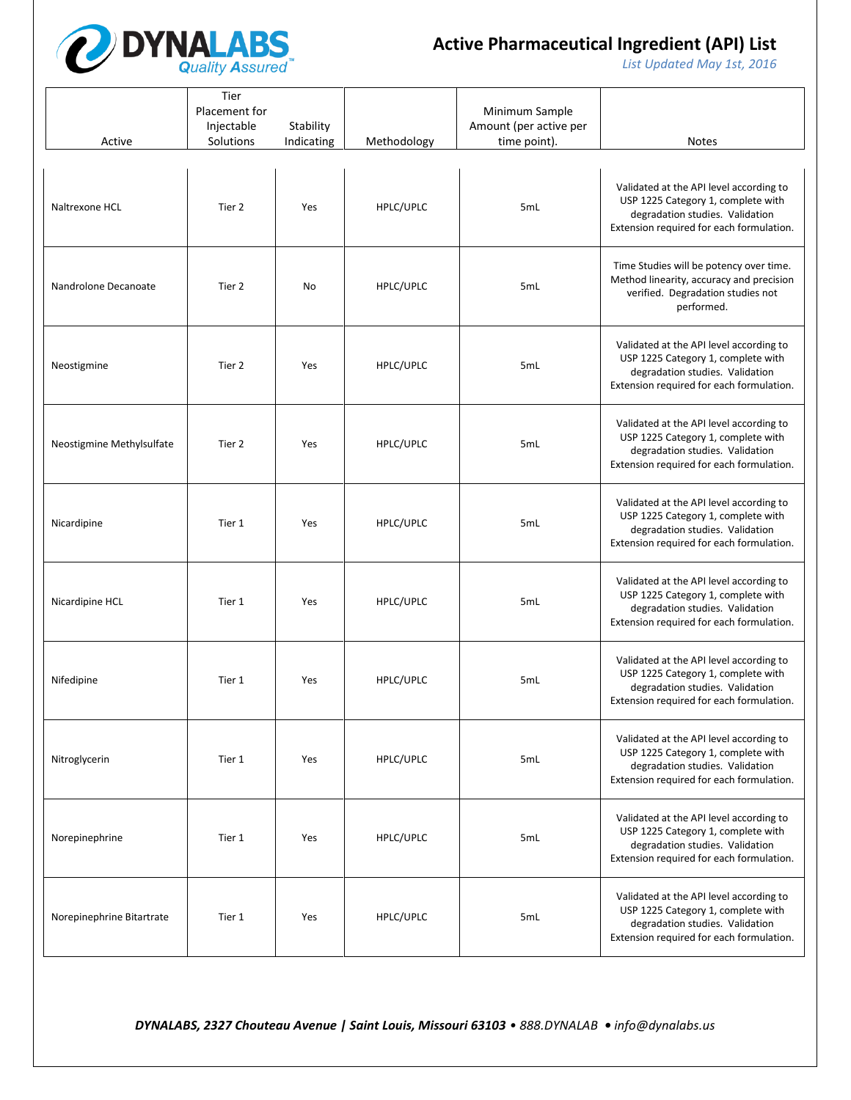

*List Updated May 1st, 2016*

| Active                    | Tier<br>Placement for<br>Injectable<br>Solutions | Stability<br>Indicating | Methodology | Minimum Sample<br>Amount (per active per<br>time point). | <b>Notes</b>                                                                                                                                                 |
|---------------------------|--------------------------------------------------|-------------------------|-------------|----------------------------------------------------------|--------------------------------------------------------------------------------------------------------------------------------------------------------------|
| Naltrexone HCL            | Tier 2                                           | Yes                     | HPLC/UPLC   | 5mL                                                      | Validated at the API level according to<br>USP 1225 Category 1, complete with<br>degradation studies. Validation<br>Extension required for each formulation. |
| Nandrolone Decanoate      | Tier 2                                           | No                      | HPLC/UPLC   | 5mL                                                      | Time Studies will be potency over time.<br>Method linearity, accuracy and precision<br>verified. Degradation studies not<br>performed.                       |
| Neostigmine               | Tier 2                                           | Yes                     | HPLC/UPLC   | 5mL                                                      | Validated at the API level according to<br>USP 1225 Category 1, complete with<br>degradation studies. Validation<br>Extension required for each formulation. |
| Neostigmine Methylsulfate | Tier 2                                           | Yes                     | HPLC/UPLC   | 5mL                                                      | Validated at the API level according to<br>USP 1225 Category 1, complete with<br>degradation studies. Validation<br>Extension required for each formulation. |
| Nicardipine               | Tier 1                                           | Yes                     | HPLC/UPLC   | 5mL                                                      | Validated at the API level according to<br>USP 1225 Category 1, complete with<br>degradation studies. Validation<br>Extension required for each formulation. |
| Nicardipine HCL           | Tier 1                                           | Yes                     | HPLC/UPLC   | 5mL                                                      | Validated at the API level according to<br>USP 1225 Category 1, complete with<br>degradation studies. Validation<br>Extension required for each formulation. |
| Nifedipine                | Tier 1                                           | Yes                     | HPLC/UPLC   | 5mL                                                      | Validated at the API level according to<br>USP 1225 Category 1, complete with<br>degradation studies. Validation<br>Extension required for each formulation. |
| Nitroglycerin             | Tier 1                                           | Yes                     | HPLC/UPLC   | 5mL                                                      | Validated at the API level according to<br>USP 1225 Category 1, complete with<br>degradation studies. Validation<br>Extension required for each formulation. |
| Norepinephrine            | Tier 1                                           | Yes                     | HPLC/UPLC   | 5mL                                                      | Validated at the API level according to<br>USP 1225 Category 1, complete with<br>degradation studies. Validation<br>Extension required for each formulation. |
| Norepinephrine Bitartrate | Tier 1                                           | Yes                     | HPLC/UPLC   | 5mL                                                      | Validated at the API level according to<br>USP 1225 Category 1, complete with<br>degradation studies. Validation<br>Extension required for each formulation. |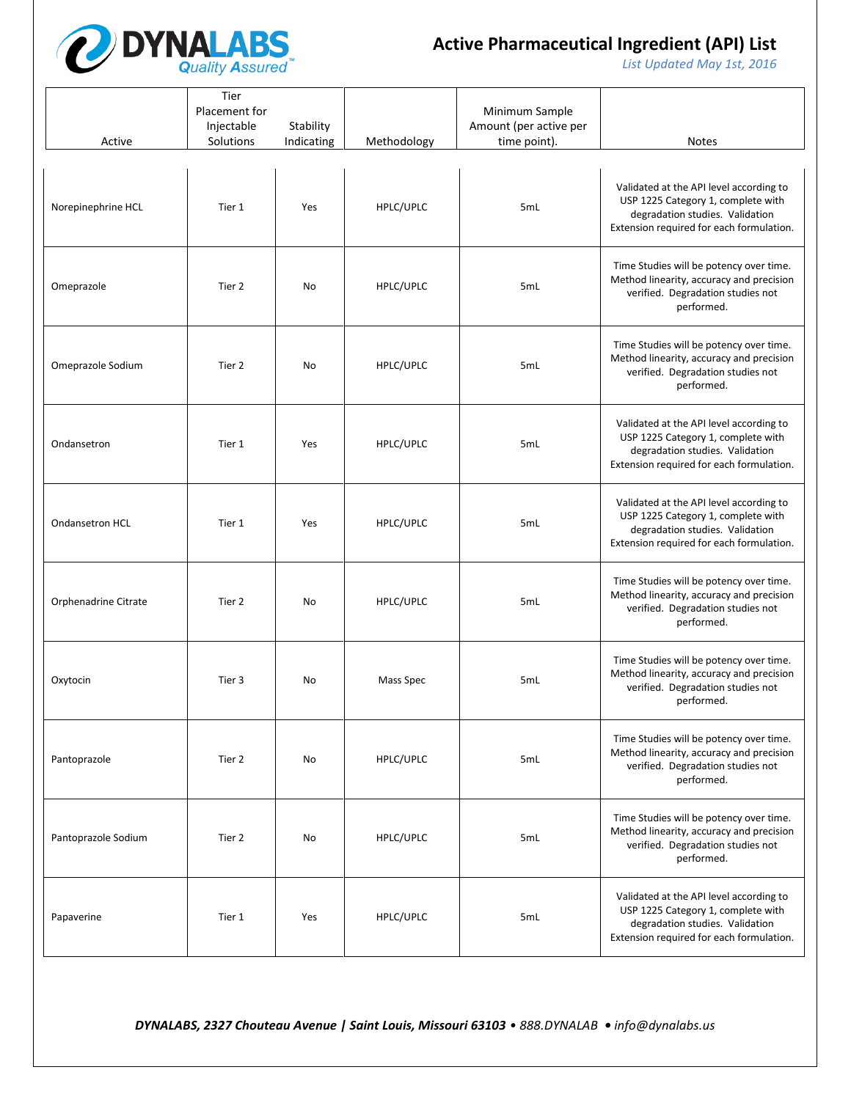

*List Updated May 1st, 2016*

| Active               | Tier<br>Placement for<br>Injectable<br>Solutions | Stability<br>Indicating | Methodology | Minimum Sample<br>Amount (per active per<br>time point). | <b>Notes</b>                                                                                                                                                 |
|----------------------|--------------------------------------------------|-------------------------|-------------|----------------------------------------------------------|--------------------------------------------------------------------------------------------------------------------------------------------------------------|
| Norepinephrine HCL   | Tier 1                                           | Yes                     | HPLC/UPLC   | 5mL                                                      | Validated at the API level according to<br>USP 1225 Category 1, complete with<br>degradation studies. Validation<br>Extension required for each formulation. |
| Omeprazole           | Tier 2                                           | No                      | HPLC/UPLC   | 5mL                                                      | Time Studies will be potency over time.<br>Method linearity, accuracy and precision<br>verified. Degradation studies not<br>performed.                       |
| Omeprazole Sodium    | Tier 2                                           | No                      | HPLC/UPLC   | 5mL                                                      | Time Studies will be potency over time.<br>Method linearity, accuracy and precision<br>verified. Degradation studies not<br>performed.                       |
| Ondansetron          | Tier 1                                           | Yes                     | HPLC/UPLC   | 5mL                                                      | Validated at the API level according to<br>USP 1225 Category 1, complete with<br>degradation studies. Validation<br>Extension required for each formulation. |
| Ondansetron HCL      | Tier 1                                           | Yes                     | HPLC/UPLC   | 5mL                                                      | Validated at the API level according to<br>USP 1225 Category 1, complete with<br>degradation studies. Validation<br>Extension required for each formulation. |
| Orphenadrine Citrate | Tier 2                                           | No                      | HPLC/UPLC   | 5mL                                                      | Time Studies will be potency over time.<br>Method linearity, accuracy and precision<br>verified. Degradation studies not<br>performed.                       |
| Oxytocin             | Tier 3                                           | No                      | Mass Spec   | 5mL                                                      | Time Studies will be potency over time.<br>Method linearity, accuracy and precision<br>verified. Degradation studies not<br>performed.                       |
| Pantoprazole         | Tier 2                                           | No                      | HPLC/UPLC   | 5mL                                                      | Time Studies will be potency over time.<br>Method linearity, accuracy and precision<br>verified. Degradation studies not<br>performed.                       |
| Pantoprazole Sodium  | Tier 2                                           | No                      | HPLC/UPLC   | 5mL                                                      | Time Studies will be potency over time.<br>Method linearity, accuracy and precision<br>verified. Degradation studies not<br>performed.                       |
| Papaverine           | Tier 1                                           | Yes                     | HPLC/UPLC   | 5mL                                                      | Validated at the API level according to<br>USP 1225 Category 1, complete with<br>degradation studies. Validation<br>Extension required for each formulation. |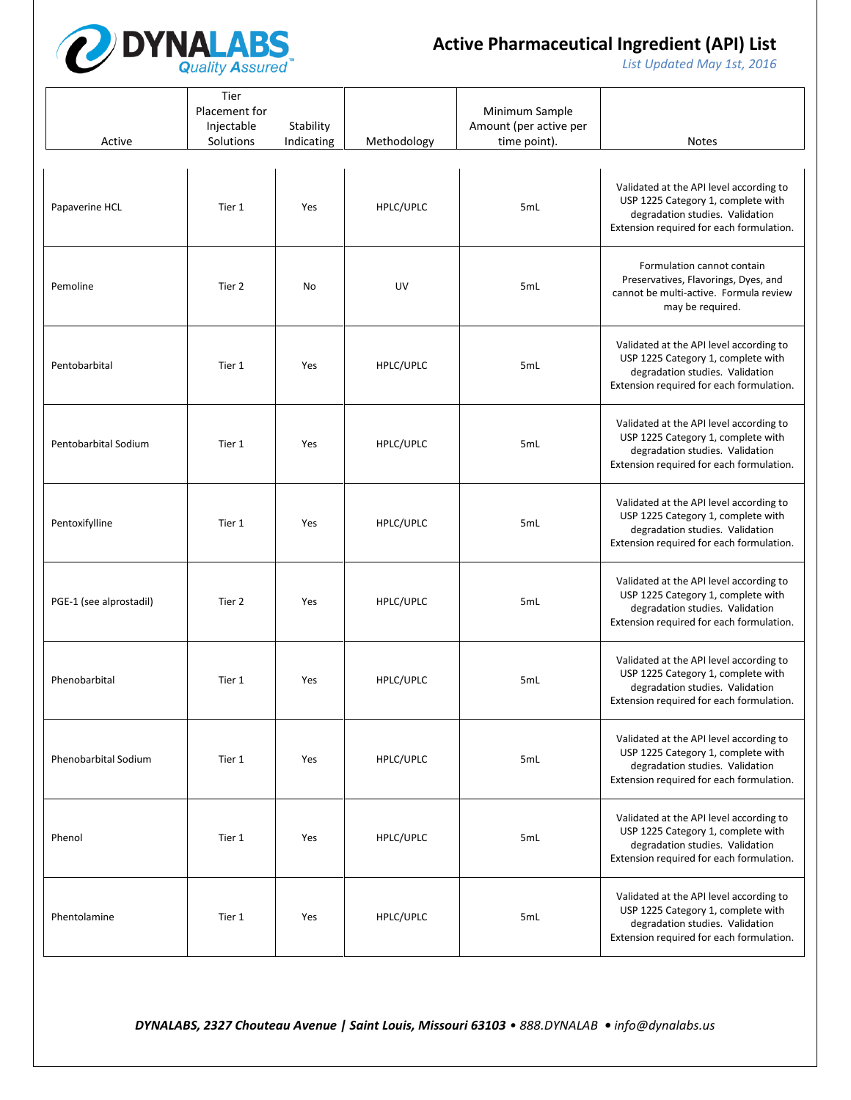

*List Updated May 1st, 2016*

| Active                  | Tier<br>Placement for<br>Injectable<br>Solutions | Stability<br>Indicating | Methodology | Minimum Sample<br>Amount (per active per<br>time point). | <b>Notes</b>                                                                                                                                                 |
|-------------------------|--------------------------------------------------|-------------------------|-------------|----------------------------------------------------------|--------------------------------------------------------------------------------------------------------------------------------------------------------------|
| Papaverine HCL          | Tier 1                                           | Yes                     | HPLC/UPLC   | 5mL                                                      | Validated at the API level according to<br>USP 1225 Category 1, complete with<br>degradation studies. Validation<br>Extension required for each formulation. |
| Pemoline                | Tier 2                                           | No                      | UV          | 5mL                                                      | Formulation cannot contain<br>Preservatives, Flavorings, Dyes, and<br>cannot be multi-active. Formula review<br>may be required.                             |
| Pentobarbital           | Tier 1                                           | Yes                     | HPLC/UPLC   | 5mL                                                      | Validated at the API level according to<br>USP 1225 Category 1, complete with<br>degradation studies. Validation<br>Extension required for each formulation. |
| Pentobarbital Sodium    | Tier 1                                           | Yes                     | HPLC/UPLC   | 5mL                                                      | Validated at the API level according to<br>USP 1225 Category 1, complete with<br>degradation studies. Validation<br>Extension required for each formulation. |
| Pentoxifylline          | Tier 1                                           | Yes                     | HPLC/UPLC   | 5mL                                                      | Validated at the API level according to<br>USP 1225 Category 1, complete with<br>degradation studies. Validation<br>Extension required for each formulation. |
| PGE-1 (see alprostadil) | Tier 2                                           | Yes                     | HPLC/UPLC   | 5mL                                                      | Validated at the API level according to<br>USP 1225 Category 1, complete with<br>degradation studies. Validation<br>Extension required for each formulation. |
| Phenobarbital           | Tier 1                                           | Yes                     | HPLC/UPLC   | 5mL                                                      | Validated at the API level according to<br>USP 1225 Category 1, complete with<br>degradation studies. Validation<br>Extension required for each formulation. |
| Phenobarbital Sodium    | Tier 1                                           | Yes                     | HPLC/UPLC   | 5mL                                                      | Validated at the API level according to<br>USP 1225 Category 1, complete with<br>degradation studies. Validation<br>Extension required for each formulation. |
| Phenol                  | Tier 1                                           | Yes                     | HPLC/UPLC   | 5mL                                                      | Validated at the API level according to<br>USP 1225 Category 1, complete with<br>degradation studies. Validation<br>Extension required for each formulation. |
| Phentolamine            | Tier 1                                           | Yes                     | HPLC/UPLC   | 5mL                                                      | Validated at the API level according to<br>USP 1225 Category 1, complete with<br>degradation studies. Validation<br>Extension required for each formulation. |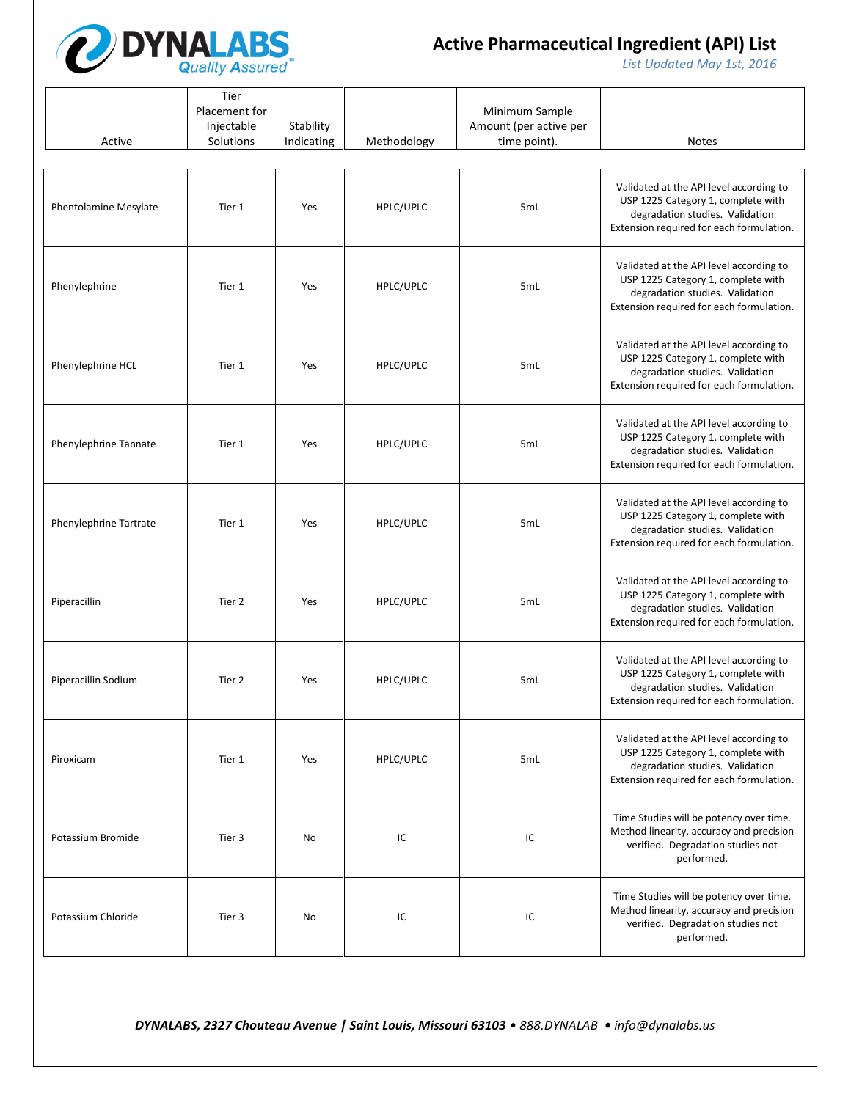

*List Updated May 1st, 2016*

| Active                       | Tier<br>Placement for<br>Injectable<br>Solutions | Stability<br>Indicating | Methodology | Minimum Sample<br>Amount (per active per<br>time point). | <b>Notes</b>                                                                                                                                                 |
|------------------------------|--------------------------------------------------|-------------------------|-------------|----------------------------------------------------------|--------------------------------------------------------------------------------------------------------------------------------------------------------------|
| <b>Phentolamine Mesylate</b> | Tier 1                                           | Yes                     | HPLC/UPLC   | 5mL                                                      | Validated at the API level according to<br>USP 1225 Category 1, complete with<br>degradation studies. Validation<br>Extension required for each formulation. |
| Phenylephrine                | Tier 1                                           | Yes                     | HPLC/UPLC   | 5mL                                                      | Validated at the API level according to<br>USP 1225 Category 1, complete with<br>degradation studies. Validation<br>Extension required for each formulation. |
| Phenylephrine HCL            | Tier 1                                           | Yes                     | HPLC/UPLC   | 5mL                                                      | Validated at the API level according to<br>USP 1225 Category 1, complete with<br>degradation studies. Validation<br>Extension required for each formulation. |
| Phenylephrine Tannate        | Tier 1                                           | Yes                     | HPLC/UPLC   | 5mL                                                      | Validated at the API level according to<br>USP 1225 Category 1, complete with<br>degradation studies. Validation<br>Extension required for each formulation. |
| Phenylephrine Tartrate       | Tier 1                                           | Yes                     | HPLC/UPLC   | 5mL                                                      | Validated at the API level according to<br>USP 1225 Category 1, complete with<br>degradation studies. Validation<br>Extension required for each formulation. |
| Piperacillin                 | Tier 2                                           | Yes                     | HPLC/UPLC   | 5mL                                                      | Validated at the API level according to<br>USP 1225 Category 1, complete with<br>degradation studies. Validation<br>Extension required for each formulation. |
| Piperacillin Sodium          | Tier 2                                           | Yes                     | HPLC/UPLC   | 5mL                                                      | Validated at the API level according to<br>USP 1225 Category 1, complete with<br>degradation studies. Validation<br>Extension required for each formulation. |
| Piroxicam                    | Tier 1                                           | Yes                     | HPLC/UPLC   | 5mL                                                      | Validated at the API level according to<br>USP 1225 Category 1, complete with<br>degradation studies. Validation<br>Extension required for each formulation. |
| Potassium Bromide            | Tier 3                                           | No                      | IC          | IC                                                       | Time Studies will be potency over time.<br>Method linearity, accuracy and precision<br>verified. Degradation studies not<br>performed.                       |
| Potassium Chloride           | Tier 3                                           | No                      | IC          | IC                                                       | Time Studies will be potency over time.<br>Method linearity, accuracy and precision<br>verified. Degradation studies not<br>performed.                       |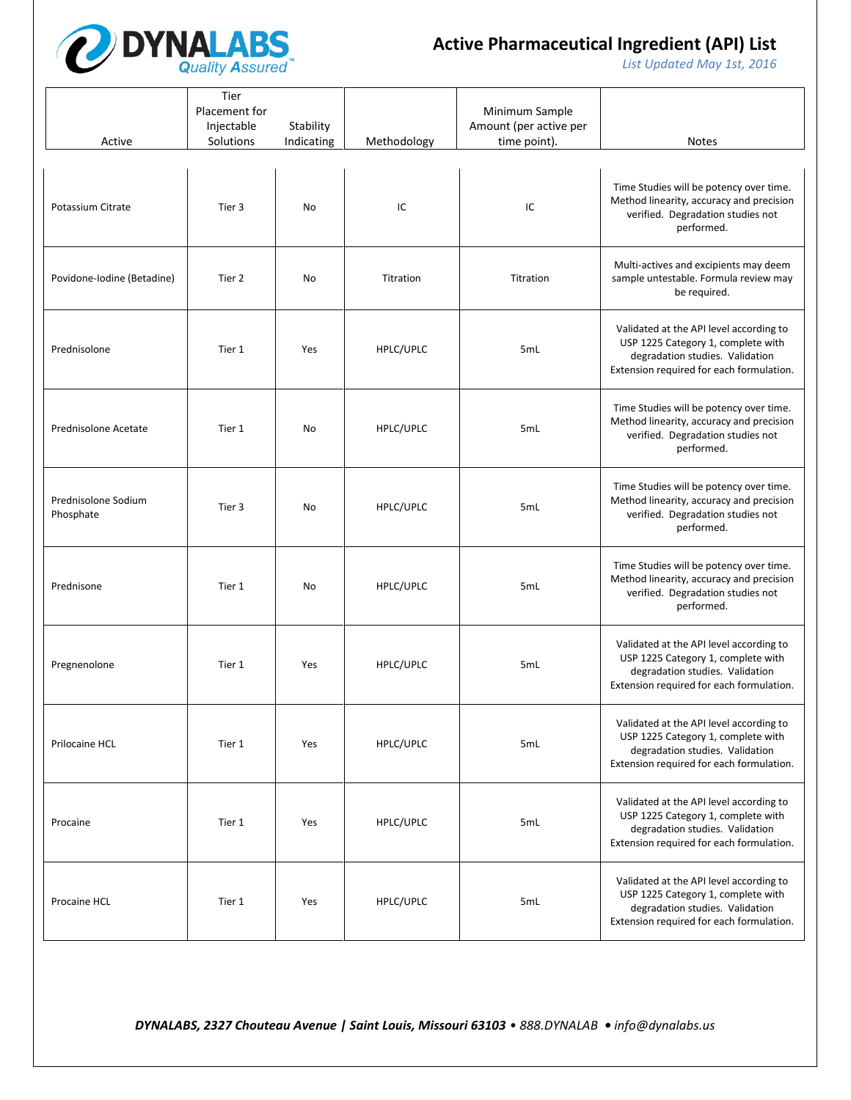

*List Updated May 1st, 2016*

| Active                           | Tier<br>Placement for<br>Injectable<br>Solutions | Stability<br>Indicating | Methodology | Minimum Sample<br>Amount (per active per<br>time point). | <b>Notes</b>                                                                                                                                                 |
|----------------------------------|--------------------------------------------------|-------------------------|-------------|----------------------------------------------------------|--------------------------------------------------------------------------------------------------------------------------------------------------------------|
| Potassium Citrate                | Tier 3                                           | No                      | IC          | IC                                                       | Time Studies will be potency over time.<br>Method linearity, accuracy and precision<br>verified. Degradation studies not<br>performed.                       |
| Povidone-Iodine (Betadine)       | Tier 2                                           | No                      | Titration   | Titration                                                | Multi-actives and excipients may deem<br>sample untestable. Formula review may<br>be required.                                                               |
| Prednisolone                     | Tier 1                                           | Yes                     | HPLC/UPLC   | 5mL                                                      | Validated at the API level according to<br>USP 1225 Category 1, complete with<br>degradation studies. Validation<br>Extension required for each formulation. |
| Prednisolone Acetate             | Tier 1                                           | No                      | HPLC/UPLC   | 5mL                                                      | Time Studies will be potency over time.<br>Method linearity, accuracy and precision<br>verified. Degradation studies not<br>performed.                       |
| Prednisolone Sodium<br>Phosphate | Tier 3                                           | No                      | HPLC/UPLC   | 5mL                                                      | Time Studies will be potency over time.<br>Method linearity, accuracy and precision<br>verified. Degradation studies not<br>performed.                       |
| Prednisone                       | Tier 1                                           | <b>No</b>               | HPLC/UPLC   | 5mL                                                      | Time Studies will be potency over time.<br>Method linearity, accuracy and precision<br>verified. Degradation studies not<br>performed.                       |
| Pregnenolone                     | Tier 1                                           | Yes                     | HPLC/UPLC   | 5mL                                                      | Validated at the API level according to<br>USP 1225 Category 1, complete with<br>degradation studies. Validation<br>Extension required for each formulation. |
| Prilocaine HCL                   | Tier 1                                           | Yes                     | HPLC/UPLC   | 5mL                                                      | Validated at the API level according to<br>USP 1225 Category 1, complete with<br>degradation studies. Validation<br>Extension required for each formulation. |
| Procaine                         | Tier 1                                           | Yes                     | HPLC/UPLC   | 5mL                                                      | Validated at the API level according to<br>USP 1225 Category 1, complete with<br>degradation studies. Validation<br>Extension required for each formulation. |
| Procaine HCL                     | Tier 1                                           | Yes                     | HPLC/UPLC   | 5mL                                                      | Validated at the API level according to<br>USP 1225 Category 1, complete with<br>degradation studies. Validation<br>Extension required for each formulation. |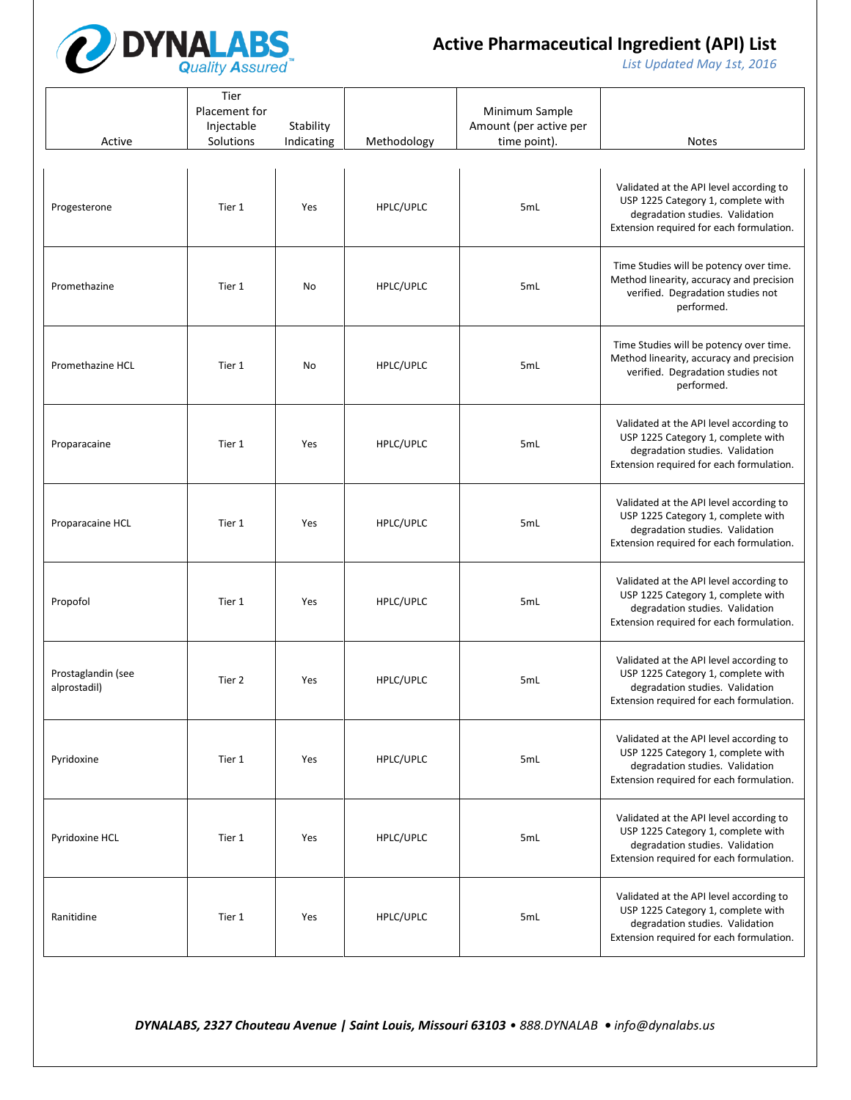

*List Updated May 1st, 2016*

| Active                             | Tier<br>Placement for<br>Injectable<br>Solutions | Stability<br>Indicating | Methodology | Minimum Sample<br>Amount (per active per<br>time point). | <b>Notes</b>                                                                                                                                                 |
|------------------------------------|--------------------------------------------------|-------------------------|-------------|----------------------------------------------------------|--------------------------------------------------------------------------------------------------------------------------------------------------------------|
| Progesterone                       | Tier 1                                           | Yes                     | HPLC/UPLC   | 5mL                                                      | Validated at the API level according to<br>USP 1225 Category 1, complete with<br>degradation studies. Validation<br>Extension required for each formulation. |
| Promethazine                       | Tier 1                                           | No                      | HPLC/UPLC   | 5mL                                                      | Time Studies will be potency over time.<br>Method linearity, accuracy and precision<br>verified. Degradation studies not<br>performed.                       |
| Promethazine HCL                   | Tier 1                                           | No                      | HPLC/UPLC   | 5mL                                                      | Time Studies will be potency over time.<br>Method linearity, accuracy and precision<br>verified. Degradation studies not<br>performed.                       |
| Proparacaine                       | Tier 1                                           | Yes                     | HPLC/UPLC   | 5mL                                                      | Validated at the API level according to<br>USP 1225 Category 1, complete with<br>degradation studies. Validation<br>Extension required for each formulation. |
| Proparacaine HCL                   | Tier 1                                           | Yes                     | HPLC/UPLC   | 5mL                                                      | Validated at the API level according to<br>USP 1225 Category 1, complete with<br>degradation studies. Validation<br>Extension required for each formulation. |
| Propofol                           | Tier 1                                           | Yes                     | HPLC/UPLC   | 5mL                                                      | Validated at the API level according to<br>USP 1225 Category 1, complete with<br>degradation studies. Validation<br>Extension required for each formulation. |
| Prostaglandin (see<br>alprostadil) | Tier 2                                           | Yes                     | HPLC/UPLC   | 5mL                                                      | Validated at the API level according to<br>USP 1225 Category 1, complete with<br>degradation studies. Validation<br>Extension required for each formulation. |
| Pyridoxine                         | Tier 1                                           | Yes                     | HPLC/UPLC   | 5mL                                                      | Validated at the API level according to<br>USP 1225 Category 1, complete with<br>degradation studies. Validation<br>Extension required for each formulation. |
| Pyridoxine HCL                     | Tier 1                                           | Yes                     | HPLC/UPLC   | 5mL                                                      | Validated at the API level according to<br>USP 1225 Category 1, complete with<br>degradation studies. Validation<br>Extension required for each formulation. |
| Ranitidine                         | Tier 1                                           | Yes                     | HPLC/UPLC   | 5mL                                                      | Validated at the API level according to<br>USP 1225 Category 1, complete with<br>degradation studies. Validation<br>Extension required for each formulation. |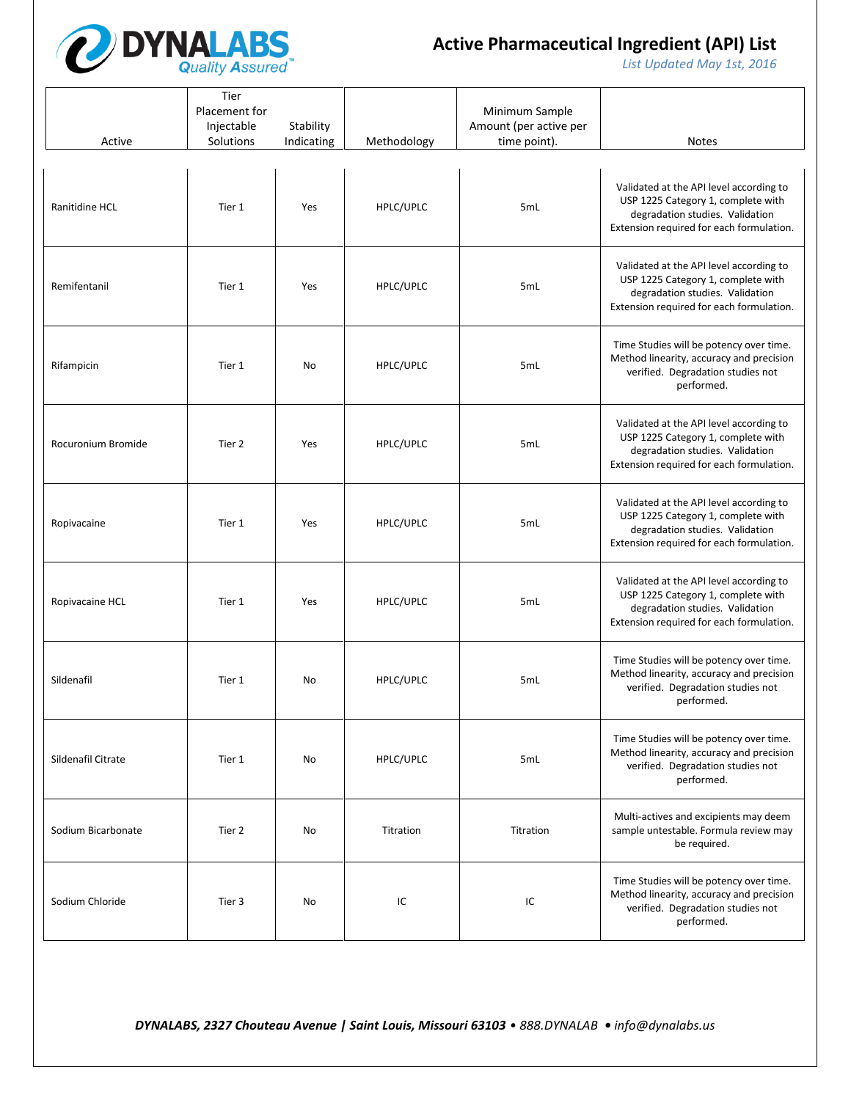

*List Updated May 1st, 2016*

| Active             | Tier<br>Placement for<br>Injectable<br>Solutions | Stability<br>Indicating | Methodology | Minimum Sample<br>Amount (per active per<br>time point). | <b>Notes</b>                                                                                                                                                 |
|--------------------|--------------------------------------------------|-------------------------|-------------|----------------------------------------------------------|--------------------------------------------------------------------------------------------------------------------------------------------------------------|
| Ranitidine HCL     | Tier 1                                           | Yes                     | HPLC/UPLC   | 5mL                                                      | Validated at the API level according to<br>USP 1225 Category 1, complete with<br>degradation studies. Validation<br>Extension required for each formulation. |
| Remifentanil       | Tier 1                                           | Yes                     | HPLC/UPLC   | 5mL                                                      | Validated at the API level according to<br>USP 1225 Category 1, complete with<br>degradation studies. Validation<br>Extension required for each formulation. |
| Rifampicin         | Tier 1                                           | No                      | HPLC/UPLC   | 5mL                                                      | Time Studies will be potency over time.<br>Method linearity, accuracy and precision<br>verified. Degradation studies not<br>performed.                       |
| Rocuronium Bromide | Tier 2                                           | Yes                     | HPLC/UPLC   | 5mL                                                      | Validated at the API level according to<br>USP 1225 Category 1, complete with<br>degradation studies. Validation<br>Extension required for each formulation. |
| Ropivacaine        | Tier 1                                           | Yes                     | HPLC/UPLC   | 5mL                                                      | Validated at the API level according to<br>USP 1225 Category 1, complete with<br>degradation studies. Validation<br>Extension required for each formulation. |
| Ropivacaine HCL    | Tier 1                                           | Yes                     | HPLC/UPLC   | 5mL                                                      | Validated at the API level according to<br>USP 1225 Category 1, complete with<br>degradation studies. Validation<br>Extension required for each formulation. |
| Sildenafil         | Tier 1                                           | No                      | HPLC/UPLC   | 5mL                                                      | Time Studies will be potency over time.<br>Method linearity, accuracy and precision<br>verified. Degradation studies not<br>performed.                       |
| Sildenafil Citrate | Tier 1                                           | No                      | HPLC/UPLC   | 5mL                                                      | Time Studies will be potency over time.<br>Method linearity, accuracy and precision<br>verified. Degradation studies not<br>performed.                       |
| Sodium Bicarbonate | Tier 2                                           | No                      | Titration   | Titration                                                | Multi-actives and excipients may deem<br>sample untestable. Formula review may<br>be required.                                                               |
| Sodium Chloride    | Tier 3                                           | No                      | IC          | IC                                                       | Time Studies will be potency over time.<br>Method linearity, accuracy and precision<br>verified. Degradation studies not<br>performed.                       |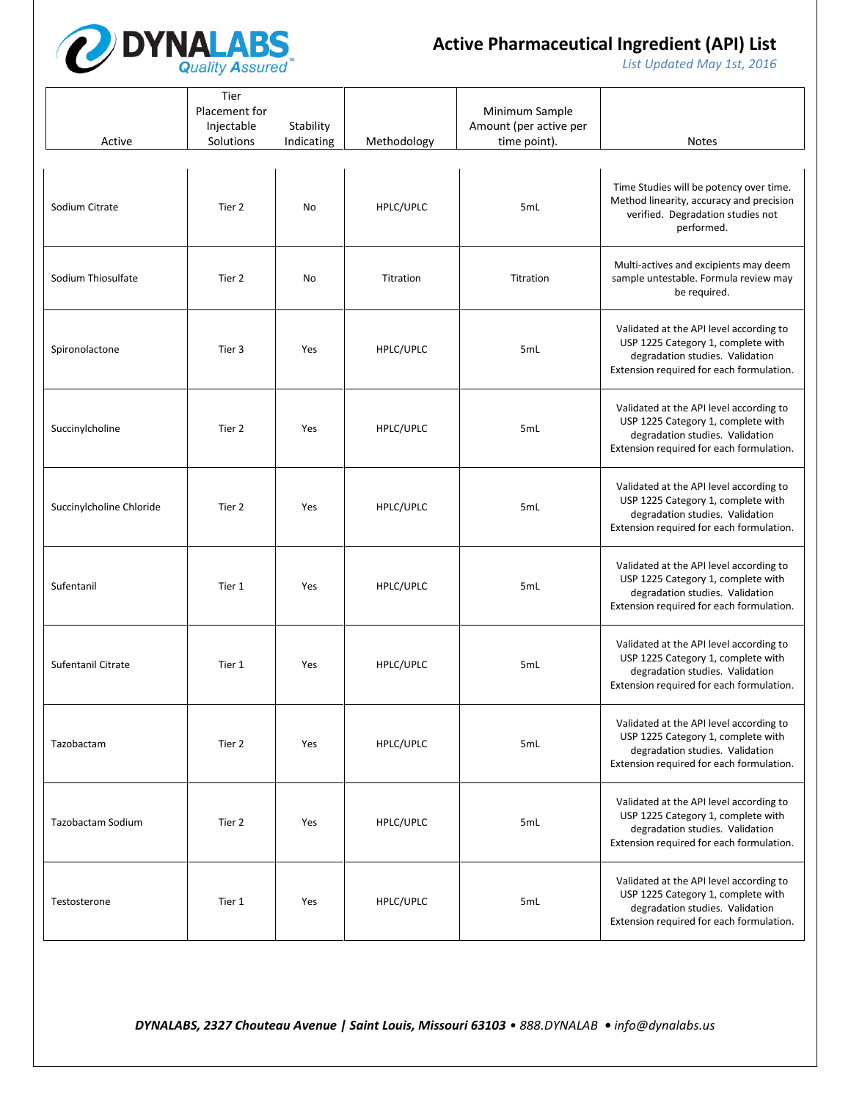

*List Updated May 1st, 2016*

| Active                   | Tier<br>Placement for<br>Injectable<br>Solutions | Stability<br>Indicating | Methodology | Minimum Sample<br>Amount (per active per<br>time point). | <b>Notes</b>                                                                                                                                                 |
|--------------------------|--------------------------------------------------|-------------------------|-------------|----------------------------------------------------------|--------------------------------------------------------------------------------------------------------------------------------------------------------------|
| Sodium Citrate           | Tier 2                                           | No                      | HPLC/UPLC   | 5mL                                                      | Time Studies will be potency over time.<br>Method linearity, accuracy and precision<br>verified. Degradation studies not<br>performed.                       |
| Sodium Thiosulfate       | Tier 2                                           | No                      | Titration   | Titration                                                | Multi-actives and excipients may deem<br>sample untestable. Formula review may<br>be required.                                                               |
| Spironolactone           | Tier 3                                           | Yes                     | HPLC/UPLC   | 5mL                                                      | Validated at the API level according to<br>USP 1225 Category 1, complete with<br>degradation studies. Validation<br>Extension required for each formulation. |
| Succinylcholine          | Tier 2                                           | Yes                     | HPLC/UPLC   | 5mL                                                      | Validated at the API level according to<br>USP 1225 Category 1, complete with<br>degradation studies. Validation<br>Extension required for each formulation. |
| Succinylcholine Chloride | Tier 2                                           | Yes                     | HPLC/UPLC   | 5mL                                                      | Validated at the API level according to<br>USP 1225 Category 1, complete with<br>degradation studies. Validation<br>Extension required for each formulation. |
| Sufentanil               | Tier 1                                           | Yes                     | HPLC/UPLC   | 5mL                                                      | Validated at the API level according to<br>USP 1225 Category 1, complete with<br>degradation studies. Validation<br>Extension required for each formulation. |
| Sufentanil Citrate       | Tier 1                                           | Yes                     | HPLC/UPLC   | 5mL                                                      | Validated at the API level according to<br>USP 1225 Category 1, complete with<br>degradation studies. Validation<br>Extension required for each formulation. |
| Tazobactam               | Tier 2                                           | Yes                     | HPLC/UPLC   | 5mL                                                      | Validated at the API level according to<br>USP 1225 Category 1, complete with<br>degradation studies. Validation<br>Extension required for each formulation. |
| Tazobactam Sodium        | Tier 2                                           | Yes                     | HPLC/UPLC   | 5mL                                                      | Validated at the API level according to<br>USP 1225 Category 1, complete with<br>degradation studies. Validation<br>Extension required for each formulation. |
| Testosterone             | Tier 1                                           | Yes                     | HPLC/UPLC   | 5mL                                                      | Validated at the API level according to<br>USP 1225 Category 1, complete with<br>degradation studies. Validation<br>Extension required for each formulation. |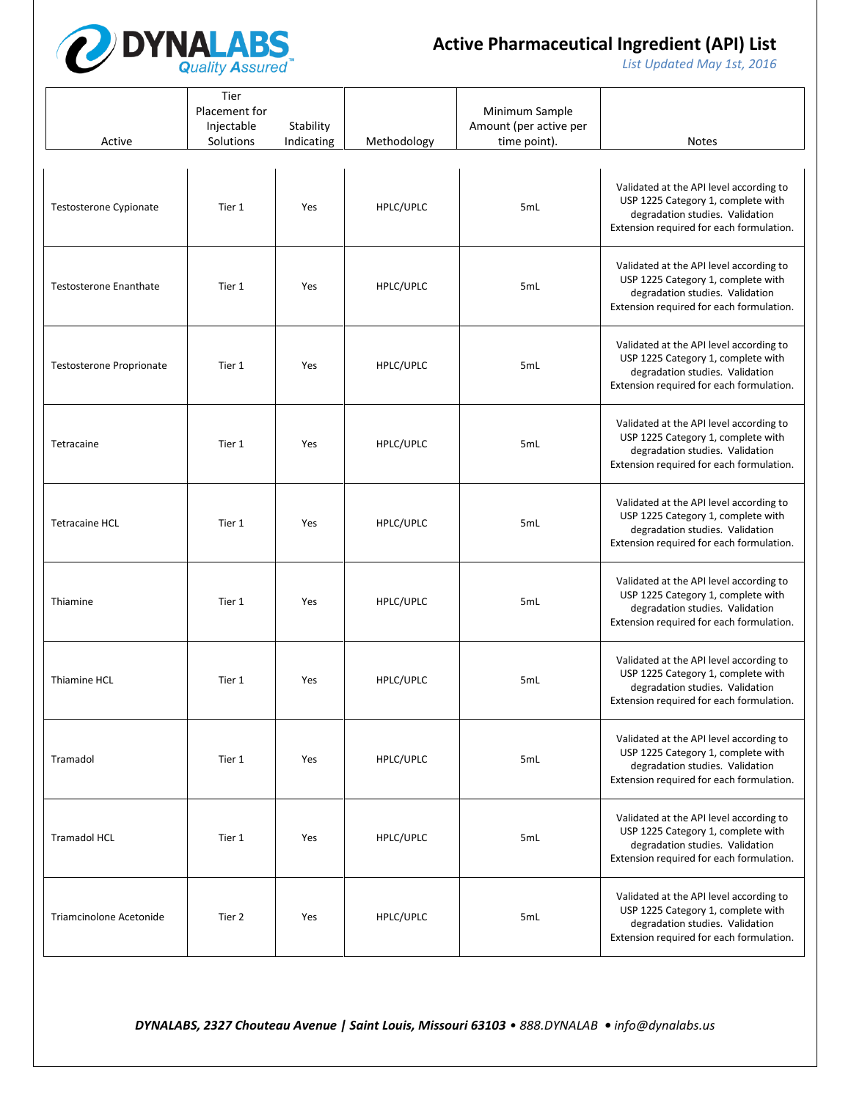

*List Updated May 1st, 2016*

| Active                          | Tier<br>Placement for<br>Injectable<br>Solutions | Stability<br>Indicating | Methodology | Minimum Sample<br>Amount (per active per<br>time point). | <b>Notes</b>                                                                                                                                                 |
|---------------------------------|--------------------------------------------------|-------------------------|-------------|----------------------------------------------------------|--------------------------------------------------------------------------------------------------------------------------------------------------------------|
| Testosterone Cypionate          | Tier 1                                           | Yes                     | HPLC/UPLC   | 5mL                                                      | Validated at the API level according to<br>USP 1225 Category 1, complete with<br>degradation studies. Validation<br>Extension required for each formulation. |
| <b>Testosterone Enanthate</b>   | Tier 1                                           | Yes                     | HPLC/UPLC   | 5mL                                                      | Validated at the API level according to<br>USP 1225 Category 1, complete with<br>degradation studies. Validation<br>Extension required for each formulation. |
| <b>Testosterone Proprionate</b> | Tier 1                                           | Yes                     | HPLC/UPLC   | 5mL                                                      | Validated at the API level according to<br>USP 1225 Category 1, complete with<br>degradation studies. Validation<br>Extension required for each formulation. |
| Tetracaine                      | Tier 1                                           | Yes                     | HPLC/UPLC   | 5mL                                                      | Validated at the API level according to<br>USP 1225 Category 1, complete with<br>degradation studies. Validation<br>Extension required for each formulation. |
| <b>Tetracaine HCL</b>           | Tier 1                                           | Yes                     | HPLC/UPLC   | 5mL                                                      | Validated at the API level according to<br>USP 1225 Category 1, complete with<br>degradation studies. Validation<br>Extension required for each formulation. |
| Thiamine                        | Tier 1                                           | Yes                     | HPLC/UPLC   | 5mL                                                      | Validated at the API level according to<br>USP 1225 Category 1, complete with<br>degradation studies. Validation<br>Extension required for each formulation. |
| Thiamine HCL                    | Tier 1                                           | Yes                     | HPLC/UPLC   | 5mL                                                      | Validated at the API level according to<br>USP 1225 Category 1, complete with<br>degradation studies. Validation<br>Extension required for each formulation. |
| Tramadol                        | Tier 1                                           | Yes                     | HPLC/UPLC   | 5mL                                                      | Validated at the API level according to<br>USP 1225 Category 1, complete with<br>degradation studies. Validation<br>Extension required for each formulation. |
| <b>Tramadol HCL</b>             | Tier 1                                           | Yes                     | HPLC/UPLC   | 5mL                                                      | Validated at the API level according to<br>USP 1225 Category 1, complete with<br>degradation studies. Validation<br>Extension required for each formulation. |
| Triamcinolone Acetonide         | Tier 2                                           | Yes                     | HPLC/UPLC   | 5mL                                                      | Validated at the API level according to<br>USP 1225 Category 1, complete with<br>degradation studies. Validation<br>Extension required for each formulation. |